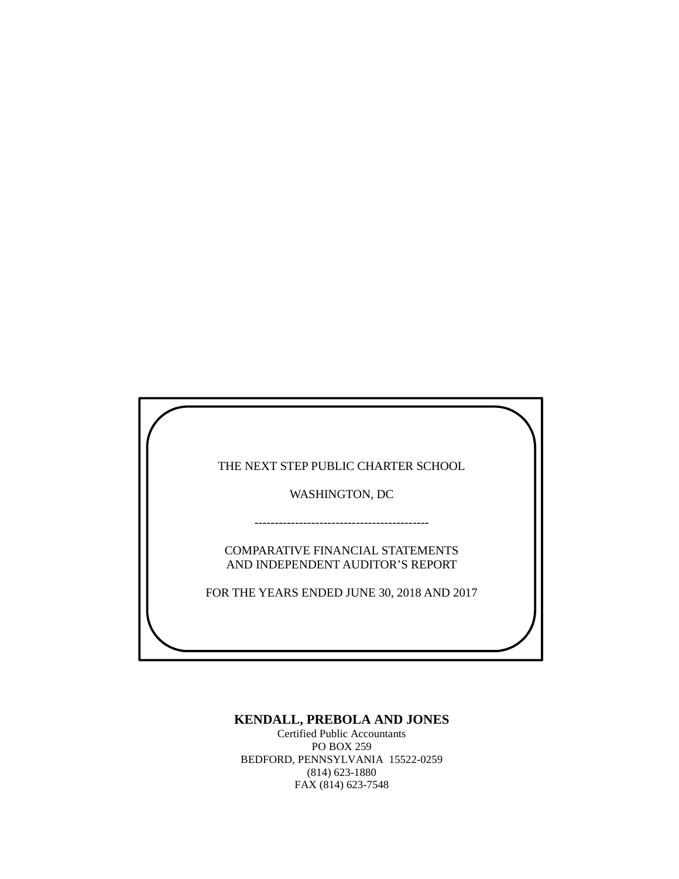THE NEXT STEP PUBLIC CHARTER SCHOOL

WASHINGTON, DC

-------------------------------------------

COMPARATIVE FINANCIAL STATEMENTS AND INDEPENDENT AUDITOR'S REPORT

FOR THE YEARS ENDED JUNE 30, 2018 AND 2017

# **KENDALL, PREBOLA AND JONES**

Certified Public Accountants PO BOX 259 BEDFORD, PENNSYLVANIA 15522-0259 (814) 623-1880 FAX (814) 623-7548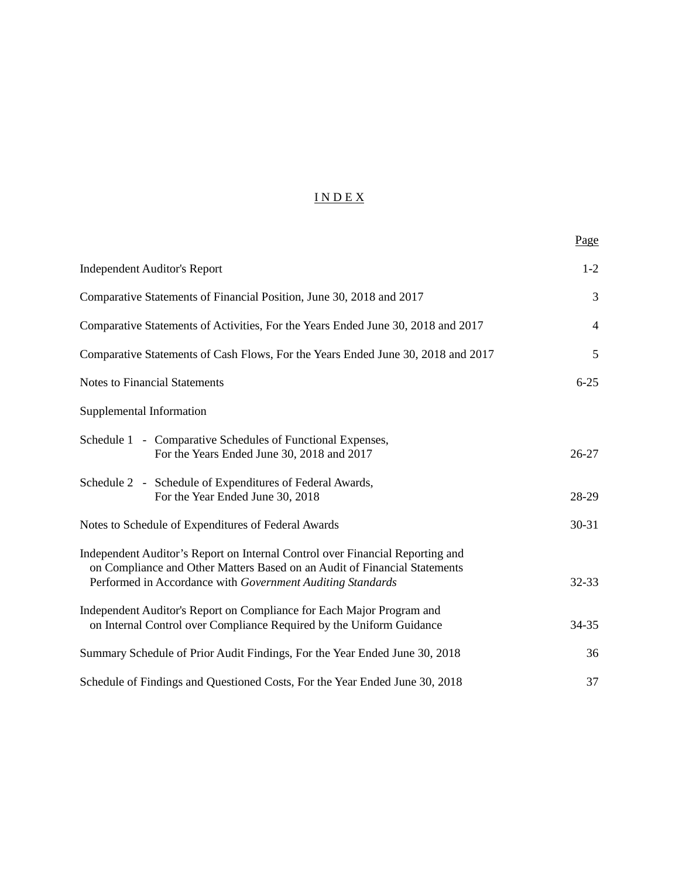# I N D E X

|                                                                                                                                                                                                                          | Page           |
|--------------------------------------------------------------------------------------------------------------------------------------------------------------------------------------------------------------------------|----------------|
| <b>Independent Auditor's Report</b>                                                                                                                                                                                      | $1-2$          |
| Comparative Statements of Financial Position, June 30, 2018 and 2017                                                                                                                                                     | 3              |
| Comparative Statements of Activities, For the Years Ended June 30, 2018 and 2017                                                                                                                                         | $\overline{4}$ |
| Comparative Statements of Cash Flows, For the Years Ended June 30, 2018 and 2017                                                                                                                                         | 5              |
| <b>Notes to Financial Statements</b>                                                                                                                                                                                     | $6 - 25$       |
| Supplemental Information                                                                                                                                                                                                 |                |
| Schedule 1 - Comparative Schedules of Functional Expenses,<br>For the Years Ended June 30, 2018 and 2017                                                                                                                 | $26 - 27$      |
| Schedule 2 - Schedule of Expenditures of Federal Awards,<br>For the Year Ended June 30, 2018                                                                                                                             | 28-29          |
| Notes to Schedule of Expenditures of Federal Awards                                                                                                                                                                      | $30 - 31$      |
| Independent Auditor's Report on Internal Control over Financial Reporting and<br>on Compliance and Other Matters Based on an Audit of Financial Statements<br>Performed in Accordance with Government Auditing Standards | $32 - 33$      |
| Independent Auditor's Report on Compliance for Each Major Program and<br>on Internal Control over Compliance Required by the Uniform Guidance                                                                            | 34-35          |
| Summary Schedule of Prior Audit Findings, For the Year Ended June 30, 2018                                                                                                                                               | 36             |
| Schedule of Findings and Questioned Costs, For the Year Ended June 30, 2018                                                                                                                                              | 37             |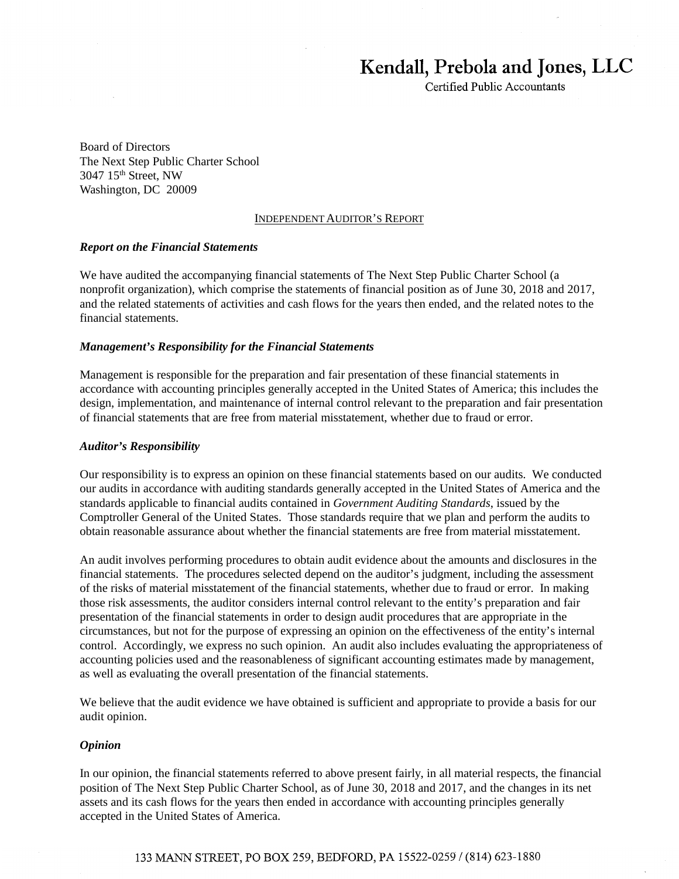# **Kendall, Prebola and Jones, LLC**

Certified Public Accountants

Board of Directors The Next Step Public Charter School 3047 15th Street, NW Washington, DC 20009

#### INDEPENDENT AUDITOR'S REPORT

#### *Report on the Financial Statements*

We have audited the accompanying financial statements of The Next Step Public Charter School (a nonprofit organization), which comprise the statements of financial position as of June 30, 2018 and 2017, and the related statements of activities and cash flows for the years then ended, and the related notes to the financial statements.

#### *Management's Responsibility for the Financial Statements*

Management is responsible for the preparation and fair presentation of these financial statements in accordance with accounting principles generally accepted in the United States of America; this includes the design, implementation, and maintenance of internal control relevant to the preparation and fair presentation of financial statements that are free from material misstatement, whether due to fraud or error.

#### *Auditor's Responsibility*

Our responsibility is to express an opinion on these financial statements based on our audits. We conducted our audits in accordance with auditing standards generally accepted in the United States of America and the standards applicable to financial audits contained in *Government Auditing Standards*, issued by the Comptroller General of the United States. Those standards require that we plan and perform the audits to obtain reasonable assurance about whether the financial statements are free from material misstatement.

An audit involves performing procedures to obtain audit evidence about the amounts and disclosures in the financial statements. The procedures selected depend on the auditor's judgment, including the assessment of the risks of material misstatement of the financial statements, whether due to fraud or error. In making those risk assessments, the auditor considers internal control relevant to the entity's preparation and fair presentation of the financial statements in order to design audit procedures that are appropriate in the circumstances, but not for the purpose of expressing an opinion on the effectiveness of the entity's internal control. Accordingly, we express no such opinion. An audit also includes evaluating the appropriateness of accounting policies used and the reasonableness of significant accounting estimates made by management, as well as evaluating the overall presentation of the financial statements.

We believe that the audit evidence we have obtained is sufficient and appropriate to provide a basis for our audit opinion.

#### *Opinion*

In our opinion, the financial statements referred to above present fairly, in all material respects, the financial position of The Next Step Public Charter School, as of June 30, 2018 and 2017, and the changes in its net assets and its cash flows for the years then ended in accordance with accounting principles generally accepted in the United States of America.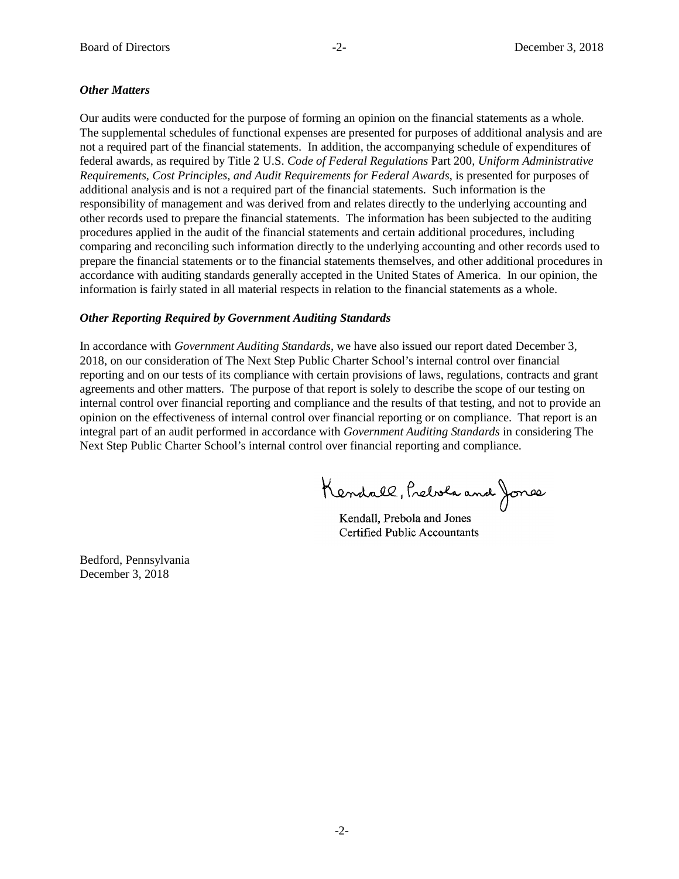#### *Other Matters*

Our audits were conducted for the purpose of forming an opinion on the financial statements as a whole. The supplemental schedules of functional expenses are presented for purposes of additional analysis and are not a required part of the financial statements. In addition, the accompanying schedule of expenditures of federal awards, as required by Title 2 U.S. *Code of Federal Regulations* Part 200, *Uniform Administrative Requirements, Cost Principles, and Audit Requirements for Federal Awards*, is presented for purposes of additional analysis and is not a required part of the financial statements. Such information is the responsibility of management and was derived from and relates directly to the underlying accounting and other records used to prepare the financial statements. The information has been subjected to the auditing procedures applied in the audit of the financial statements and certain additional procedures, including comparing and reconciling such information directly to the underlying accounting and other records used to prepare the financial statements or to the financial statements themselves, and other additional procedures in accordance with auditing standards generally accepted in the United States of America. In our opinion, the information is fairly stated in all material respects in relation to the financial statements as a whole.

#### *Other Reporting Required by Government Auditing Standards*

In accordance with *Government Auditing Standards*, we have also issued our report dated December 3, 2018, on our consideration of The Next Step Public Charter School's internal control over financial reporting and on our tests of its compliance with certain provisions of laws, regulations, contracts and grant agreements and other matters. The purpose of that report is solely to describe the scope of our testing on internal control over financial reporting and compliance and the results of that testing, and not to provide an opinion on the effectiveness of internal control over financial reporting or on compliance. That report is an integral part of an audit performed in accordance with *Government Auditing Standards* in considering The Next Step Public Charter School's internal control over financial reporting and compliance.

Kendall, Prebola and Jones

Kendall, Prebola and Jones Kendall, Prebola and Jones Certified Public Accountants Certified Public Accountants

Bedford, Pennsylvania December 3, 2018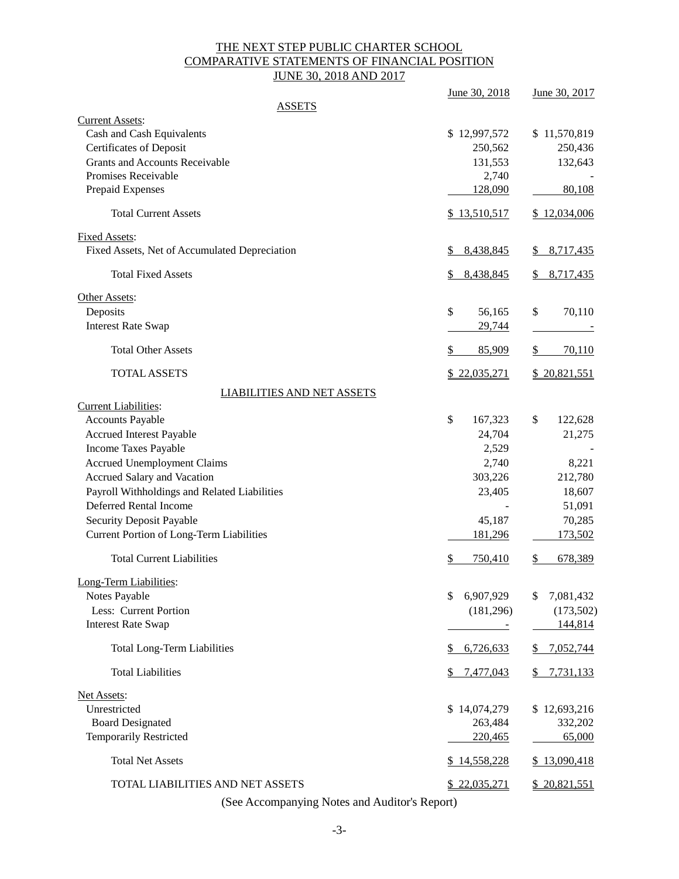# THE NEXT STEP PUBLIC CHARTER SCHOOL COMPARATIVE STATEMENTS OF FINANCIAL POSITION JUNE 30, 2018 AND 2017

|                                                 | June 30, 2018            | June 30, 2017    |
|-------------------------------------------------|--------------------------|------------------|
| <b>ASSETS</b>                                   |                          |                  |
| <b>Current Assets:</b>                          |                          |                  |
| Cash and Cash Equivalents                       | \$12,997,572             | \$11,570,819     |
| <b>Certificates of Deposit</b>                  | 250,562                  | 250,436          |
| <b>Grants and Accounts Receivable</b>           | 131,553                  | 132,643          |
| Promises Receivable                             | 2,740                    |                  |
| Prepaid Expenses                                | 128,090                  | 80,108           |
| <b>Total Current Assets</b>                     | \$13,510,517             | \$12,034,006     |
| <b>Fixed Assets:</b>                            |                          |                  |
| Fixed Assets, Net of Accumulated Depreciation   | 8,438,845                | 8,717,435<br>\$  |
| <b>Total Fixed Assets</b>                       | 8,438,845                | 8,717,435<br>\$  |
| Other Assets:                                   |                          |                  |
| Deposits                                        | \$<br>56,165             | 70,110<br>\$     |
| <b>Interest Rate Swap</b>                       | 29,744                   |                  |
| <b>Total Other Assets</b>                       | 85,909<br>\$             | \$<br>70,110     |
| <b>TOTAL ASSETS</b>                             | \$22,035,271             | \$20,821,551     |
| <b>LIABILITIES AND NET ASSETS</b>               |                          |                  |
| <b>Current Liabilities:</b>                     |                          |                  |
| <b>Accounts Payable</b>                         | \$<br>167,323            | \$<br>122,628    |
| Accrued Interest Payable                        | 24,704                   | 21,275           |
| Income Taxes Payable                            | 2,529                    |                  |
| <b>Accrued Unemployment Claims</b>              | 2,740                    | 8,221            |
| Accrued Salary and Vacation                     | 303,226                  | 212,780          |
| Payroll Withholdings and Related Liabilities    | 23,405                   | 18,607           |
| Deferred Rental Income                          |                          | 51,091           |
| Security Deposit Payable                        | 45,187                   | 70,285           |
| <b>Current Portion of Long-Term Liabilities</b> | 181,296                  | 173,502          |
| <b>Total Current Liabilities</b>                | 750,410<br>\$            | 678,389<br>\$    |
|                                                 |                          |                  |
| Long-Term Liabilities:<br>Notes Payable         | \$<br>6,907,929          | \$<br>7,081,432  |
| Less: Current Portion                           | (181, 296)               | (173,502)        |
| <b>Interest Rate Swap</b>                       |                          | 144,814          |
|                                                 | $\overline{\phantom{a}}$ |                  |
| <b>Total Long-Term Liabilities</b>              | 6,726,633                | 7,052,744<br>\$  |
| <b>Total Liabilities</b>                        | 7,477,043<br>S.          | 7,731,133<br>\$. |
| Net Assets:                                     |                          |                  |
| Unrestricted                                    | \$14,074,279             | \$12,693,216     |
| <b>Board Designated</b>                         | 263,484                  | 332,202          |
| <b>Temporarily Restricted</b>                   | 220,465                  | 65,000           |
| <b>Total Net Assets</b>                         | \$14,558,228             | \$13,090,418     |
| TOTAL LIABILITIES AND NET ASSETS                | \$22,035,271             | \$20,821,551     |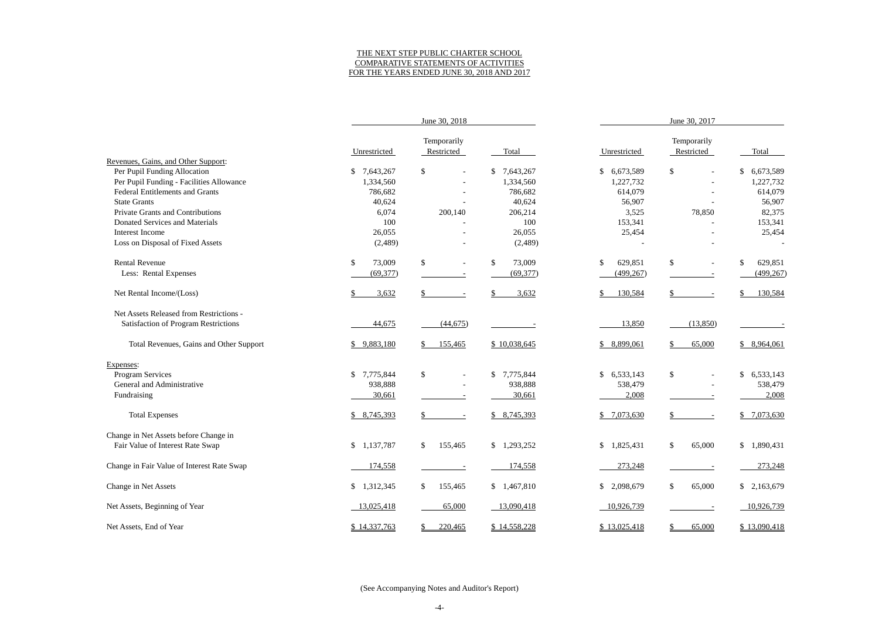#### THE NEXT STEP PUBLIC CHARTER SCHOOL COMPARATIVE STATEMENTS OF ACTIVITIES FOR THE YEARS ENDED JUNE 30, 2018 AND 2017

|                                             |                        | June 30, 2018             |                        |                 | June 30, 2017             |                            |  |  |
|---------------------------------------------|------------------------|---------------------------|------------------------|-----------------|---------------------------|----------------------------|--|--|
|                                             | Unrestricted           | Temporarily<br>Restricted | Total                  | Unrestricted    | Temporarily<br>Restricted | Total                      |  |  |
| Revenues, Gains, and Other Support:         |                        |                           |                        |                 |                           |                            |  |  |
| Per Pupil Funding Allocation                | \$7,643,267            | \$                        | \$7,643,267            | \$6,673,589     | \$<br>$\sim$              | \$6,673,589                |  |  |
| Per Pupil Funding - Facilities Allowance    | 1,334,560              |                           | 1,334,560              | 1,227,732       | $\blacksquare$            | 1,227,732                  |  |  |
| <b>Federal Entitlements and Grants</b>      | 786,682                |                           | 786,682                | 614,079         | $\overline{\phantom{a}}$  | 614,079                    |  |  |
| <b>State Grants</b>                         | 40,624                 |                           | 40,624                 | 56,907          |                           | 56,907                     |  |  |
| Private Grants and Contributions            | 6,074                  | 200,140                   | 206,214                | 3,525           | 78,850                    | 82,375                     |  |  |
| Donated Services and Materials              | 100                    |                           | 100                    | 153,341         |                           | 153,341                    |  |  |
| Interest Income                             | 26,055                 |                           | 26,055                 | 25,454          | $\overline{\phantom{a}}$  | 25,454                     |  |  |
| Loss on Disposal of Fixed Assets            | (2,489)                |                           | (2,489)                |                 |                           |                            |  |  |
| <b>Rental Revenue</b>                       | $\mathbb{S}$<br>73,009 | \$                        | $\mathbb{S}$<br>73,009 | 629,851<br>\$   | \$<br>$\bar{\phantom{a}}$ | $\mathcal{S}$<br>629,851   |  |  |
| Less: Rental Expenses                       | (69, 377)              |                           | (69, 377)              | (499, 267)      |                           | (499, 267)                 |  |  |
| Net Rental Income/(Loss)                    | 3,632                  |                           | 3,632<br>\$            | 130,584         |                           | 130,584                    |  |  |
| Net Assets Released from Restrictions -     |                        |                           |                        |                 |                           |                            |  |  |
| <b>Satisfaction of Program Restrictions</b> | 44,675                 | (44, 675)                 |                        | 13,850          | (13,850)                  |                            |  |  |
| Total Revenues, Gains and Other Support     | \$9,883,180            | 155,465                   | \$10,038,645           | \$ 8,899,061    | 65,000                    | \$8,964,061                |  |  |
| Expenses:                                   |                        |                           |                        |                 |                           |                            |  |  |
| <b>Program Services</b>                     | \$7,775,844            | \$                        | \$7,775,844            | \$6,533,143     | \$<br>$\sim$              | \$6,533,143                |  |  |
| General and Administrative                  | 938,888                |                           | 938,888                | 538,479         |                           | 538,479                    |  |  |
| Fundraising                                 | 30.661                 |                           | 30,661                 | 2,008           |                           | 2,008                      |  |  |
| <b>Total Expenses</b>                       | \$8,745,393            |                           | \$8,745,393            | \$7,073,630     |                           | \$7,073,630                |  |  |
| Change in Net Assets before Change in       |                        |                           |                        |                 |                           |                            |  |  |
| Fair Value of Interest Rate Swap            | \$1,137,787            | $\mathbb{S}$<br>155,465   | \$1,293,252            | 1,825,431<br>\$ | \$<br>65,000              | $\mathcal{S}$<br>1,890,431 |  |  |
| Change in Fair Value of Interest Rate Swap  | 174,558                |                           | 174,558                | 273,248         |                           | 273,248                    |  |  |
| Change in Net Assets                        | 1,312,345<br>\$        | 155,465<br>\$             | \$1,467,810            | 2,098,679<br>\$ | \$<br>65,000              | \$2,163,679                |  |  |
| Net Assets, Beginning of Year               | 13,025,418             | 65,000                    | 13,090,418             | 10,926,739      |                           | 10,926,739                 |  |  |
| Net Assets, End of Year                     | \$14,337,763           | 220,465                   | \$14,558,228           | \$13,025,418    | 65,000                    | \$13,090,418               |  |  |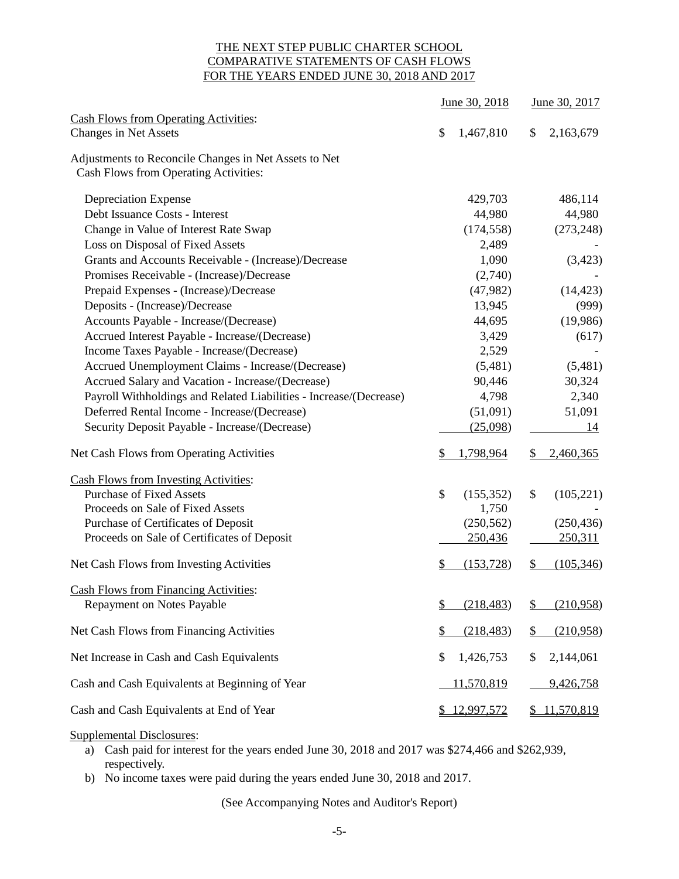## THE NEXT STEP PUBLIC CHARTER SCHOOL COMPARATIVE STATEMENTS OF CASH FLOWS FOR THE YEARS ENDED JUNE 30, 2018 AND 2017

|                                                                    |               | June 30, 2018<br>June 30, 2017 |               |              |
|--------------------------------------------------------------------|---------------|--------------------------------|---------------|--------------|
| <b>Cash Flows from Operating Activities:</b>                       |               |                                |               |              |
| <b>Changes in Net Assets</b>                                       | \$            | 1,467,810                      | \$            | 2,163,679    |
| Adjustments to Reconcile Changes in Net Assets to Net              |               |                                |               |              |
| Cash Flows from Operating Activities:                              |               |                                |               |              |
| Depreciation Expense                                               |               | 429,703                        |               | 486,114      |
| Debt Issuance Costs - Interest                                     |               | 44,980                         |               | 44,980       |
| Change in Value of Interest Rate Swap                              |               | (174, 558)                     |               | (273, 248)   |
| Loss on Disposal of Fixed Assets                                   |               | 2,489                          |               |              |
| Grants and Accounts Receivable - (Increase)/Decrease               |               | 1,090                          |               | (3, 423)     |
| Promises Receivable - (Increase)/Decrease                          |               | (2,740)                        |               |              |
| Prepaid Expenses - (Increase)/Decrease                             |               | (47,982)                       |               | (14, 423)    |
| Deposits - (Increase)/Decrease                                     |               | 13,945                         |               | (999)        |
| Accounts Payable - Increase/(Decrease)                             |               | 44,695                         |               | (19,986)     |
| Accrued Interest Payable - Increase/(Decrease)                     |               | 3,429                          |               | (617)        |
| Income Taxes Payable - Increase/(Decrease)                         |               | 2,529                          |               |              |
| Accrued Unemployment Claims - Increase/(Decrease)                  |               | (5,481)                        |               | (5,481)      |
| Accrued Salary and Vacation - Increase/(Decrease)                  |               | 90,446                         |               | 30,324       |
| Payroll Withholdings and Related Liabilities - Increase/(Decrease) |               | 4,798                          |               | 2,340        |
| Deferred Rental Income - Increase/(Decrease)                       |               | (51,091)                       |               | 51,091       |
| Security Deposit Payable - Increase/(Decrease)                     |               | (25,098)                       |               | 14           |
| Net Cash Flows from Operating Activities                           | S             | 1,798,964                      | \$            | 2,460,365    |
| <b>Cash Flows from Investing Activities:</b>                       |               |                                |               |              |
| <b>Purchase of Fixed Assets</b>                                    | \$            | (155, 352)                     | \$            | (105, 221)   |
| Proceeds on Sale of Fixed Assets                                   |               | 1,750                          |               |              |
| Purchase of Certificates of Deposit                                |               | (250, 562)                     |               | (250, 436)   |
| Proceeds on Sale of Certificates of Deposit                        |               | 250,436                        |               | 250,311      |
| Net Cash Flows from Investing Activities                           | \$            | (153, 728)                     | $\frac{1}{2}$ | (105,346)    |
| Cash Flows from Financing Activities:                              |               |                                |               |              |
| Repayment on Notes Payable                                         | \$            | (218, 483)                     | \$            | (210,958)    |
| Net Cash Flows from Financing Activities                           | $\frac{1}{2}$ | (218, 483)                     | $\frac{1}{2}$ | (210,958)    |
| Net Increase in Cash and Cash Equivalents                          | \$            | 1,426,753                      | \$            | 2,144,061    |
| Cash and Cash Equivalents at Beginning of Year                     |               | <u>11,570,819</u>              |               | 9,426,758    |
| Cash and Cash Equivalents at End of Year                           |               | \$12,997,572                   |               | \$11,570,819 |

Supplemental Disclosures:

a) Cash paid for interest for the years ended June 30, 2018 and 2017 was \$274,466 and \$262,939, respectively.

b) No income taxes were paid during the years ended June 30, 2018 and 2017.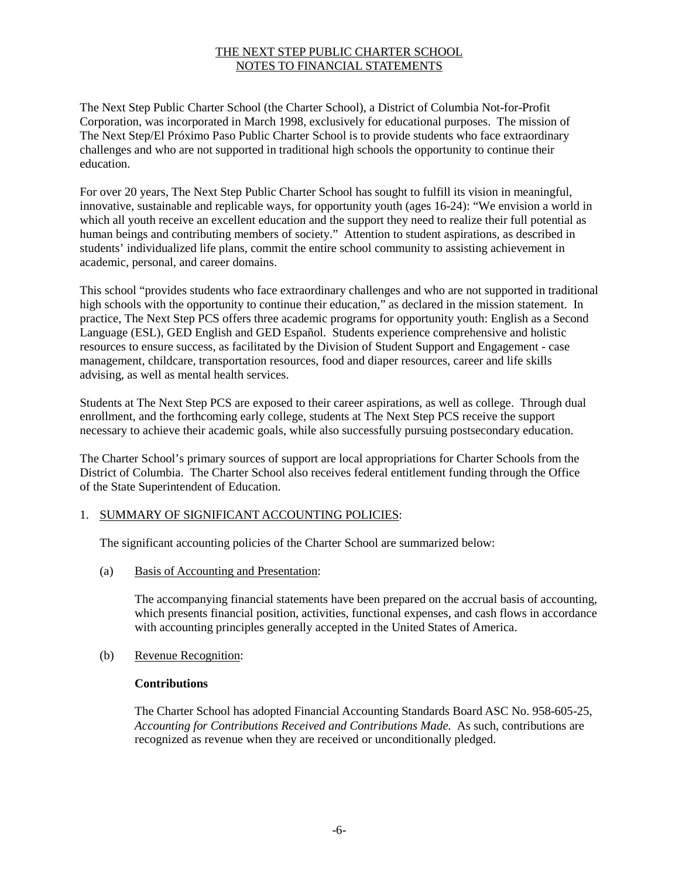The Next Step Public Charter School (the Charter School), a District of Columbia Not-for-Profit Corporation, was incorporated in March 1998, exclusively for educational purposes. The mission of The Next Step/El Próximo Paso Public Charter School is to provide students who face extraordinary challenges and who are not supported in traditional high schools the opportunity to continue their education.

For over 20 years, The Next Step Public Charter School has sought to fulfill its vision in meaningful, innovative, sustainable and replicable ways, for opportunity youth (ages 16-24): "We envision a world in which all youth receive an excellent education and the support they need to realize their full potential as human beings and contributing members of society." Attention to student aspirations, as described in students' individualized life plans, commit the entire school community to assisting achievement in academic, personal, and career domains.

This school "provides students who face extraordinary challenges and who are not supported in traditional high schools with the opportunity to continue their education," as declared in the mission statement. In practice, The Next Step PCS offers three academic programs for opportunity youth: English as a Second Language (ESL), GED English and GED Español. Students experience comprehensive and holistic resources to ensure success, as facilitated by the Division of Student Support and Engagement - case management, childcare, transportation resources, food and diaper resources, career and life skills advising, as well as mental health services.

Students at The Next Step PCS are exposed to their career aspirations, as well as college. Through dual enrollment, and the forthcoming early college, students at The Next Step PCS receive the support necessary to achieve their academic goals, while also successfully pursuing postsecondary education.

The Charter School's primary sources of support are local appropriations for Charter Schools from the District of Columbia. The Charter School also receives federal entitlement funding through the Office of the State Superintendent of Education.

## 1. SUMMARY OF SIGNIFICANT ACCOUNTING POLICIES:

The significant accounting policies of the Charter School are summarized below:

(a) Basis of Accounting and Presentation:

The accompanying financial statements have been prepared on the accrual basis of accounting, which presents financial position, activities, functional expenses, and cash flows in accordance with accounting principles generally accepted in the United States of America.

(b) Revenue Recognition:

## **Contributions**

The Charter School has adopted Financial Accounting Standards Board ASC No. 958-605-25, *Accounting for Contributions Received and Contributions Made.* As such, contributions are recognized as revenue when they are received or unconditionally pledged.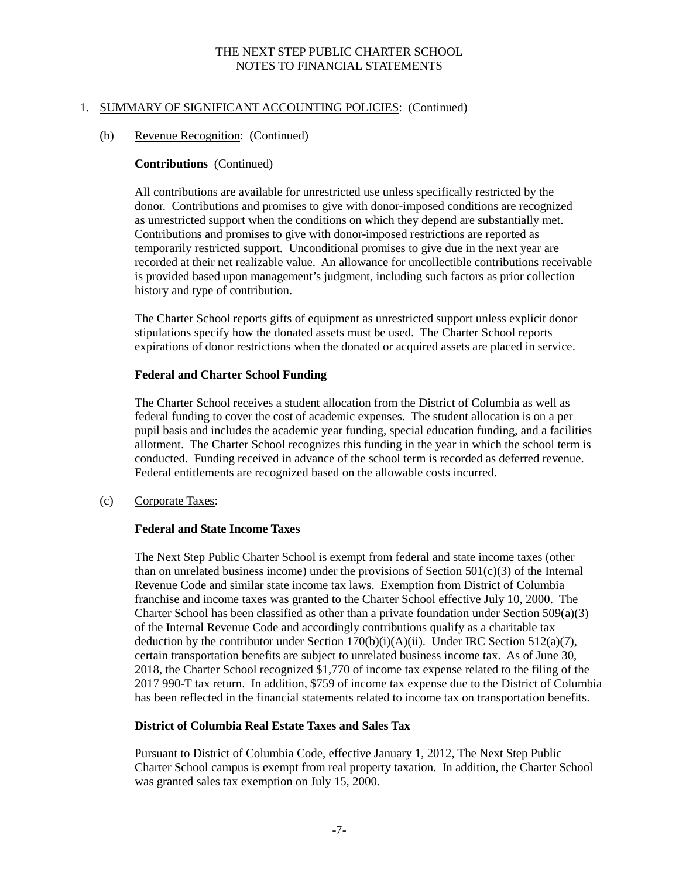# 1. SUMMARY OF SIGNIFICANT ACCOUNTING POLICIES: (Continued)

#### (b) Revenue Recognition: (Continued)

#### **Contributions** (Continued)

All contributions are available for unrestricted use unless specifically restricted by the donor. Contributions and promises to give with donor-imposed conditions are recognized as unrestricted support when the conditions on which they depend are substantially met. Contributions and promises to give with donor-imposed restrictions are reported as temporarily restricted support. Unconditional promises to give due in the next year are recorded at their net realizable value. An allowance for uncollectible contributions receivable is provided based upon management's judgment, including such factors as prior collection history and type of contribution.

The Charter School reports gifts of equipment as unrestricted support unless explicit donor stipulations specify how the donated assets must be used. The Charter School reports expirations of donor restrictions when the donated or acquired assets are placed in service.

#### **Federal and Charter School Funding**

The Charter School receives a student allocation from the District of Columbia as well as federal funding to cover the cost of academic expenses. The student allocation is on a per pupil basis and includes the academic year funding, special education funding, and a facilities allotment. The Charter School recognizes this funding in the year in which the school term is conducted. Funding received in advance of the school term is recorded as deferred revenue. Federal entitlements are recognized based on the allowable costs incurred.

## (c) Corporate Taxes:

## **Federal and State Income Taxes**

The Next Step Public Charter School is exempt from federal and state income taxes (other than on unrelated business income) under the provisions of Section  $501(c)(3)$  of the Internal Revenue Code and similar state income tax laws. Exemption from District of Columbia franchise and income taxes was granted to the Charter School effective July 10, 2000. The Charter School has been classified as other than a private foundation under Section  $509(a)(3)$ of the Internal Revenue Code and accordingly contributions qualify as a charitable tax deduction by the contributor under Section 170(b)(i)(A)(ii). Under IRC Section 512(a)(7), certain transportation benefits are subject to unrelated business income tax. As of June 30, 2018, the Charter School recognized \$1,770 of income tax expense related to the filing of the 2017 990-T tax return. In addition, \$759 of income tax expense due to the District of Columbia has been reflected in the financial statements related to income tax on transportation benefits.

## **District of Columbia Real Estate Taxes and Sales Tax**

Pursuant to District of Columbia Code, effective January 1, 2012, The Next Step Public Charter School campus is exempt from real property taxation. In addition, the Charter School was granted sales tax exemption on July 15, 2000.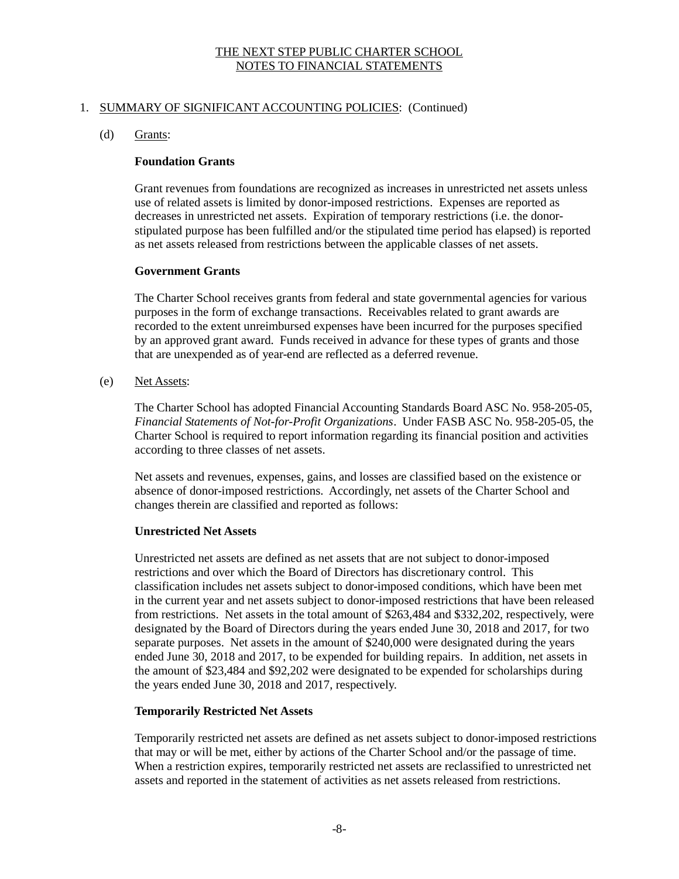## 1. SUMMARY OF SIGNIFICANT ACCOUNTING POLICIES: (Continued)

## (d) Grants:

## **Foundation Grants**

Grant revenues from foundations are recognized as increases in unrestricted net assets unless use of related assets is limited by donor-imposed restrictions. Expenses are reported as decreases in unrestricted net assets. Expiration of temporary restrictions (i.e. the donorstipulated purpose has been fulfilled and/or the stipulated time period has elapsed) is reported as net assets released from restrictions between the applicable classes of net assets.

## **Government Grants**

The Charter School receives grants from federal and state governmental agencies for various purposes in the form of exchange transactions. Receivables related to grant awards are recorded to the extent unreimbursed expenses have been incurred for the purposes specified by an approved grant award. Funds received in advance for these types of grants and those that are unexpended as of year-end are reflected as a deferred revenue.

(e) Net Assets:

The Charter School has adopted Financial Accounting Standards Board ASC No. 958-205-05, *Financial Statements of Not-for-Profit Organizations*. Under FASB ASC No. 958-205-05, the Charter School is required to report information regarding its financial position and activities according to three classes of net assets.

Net assets and revenues, expenses, gains, and losses are classified based on the existence or absence of donor-imposed restrictions. Accordingly, net assets of the Charter School and changes therein are classified and reported as follows:

## **Unrestricted Net Assets**

Unrestricted net assets are defined as net assets that are not subject to donor-imposed restrictions and over which the Board of Directors has discretionary control. This classification includes net assets subject to donor-imposed conditions, which have been met in the current year and net assets subject to donor-imposed restrictions that have been released from restrictions. Net assets in the total amount of \$263,484 and \$332,202, respectively, were designated by the Board of Directors during the years ended June 30, 2018 and 2017, for two separate purposes. Net assets in the amount of \$240,000 were designated during the years ended June 30, 2018 and 2017, to be expended for building repairs. In addition, net assets in the amount of \$23,484 and \$92,202 were designated to be expended for scholarships during the years ended June 30, 2018 and 2017, respectively.

## **Temporarily Restricted Net Assets**

Temporarily restricted net assets are defined as net assets subject to donor-imposed restrictions that may or will be met, either by actions of the Charter School and/or the passage of time. When a restriction expires, temporarily restricted net assets are reclassified to unrestricted net assets and reported in the statement of activities as net assets released from restrictions.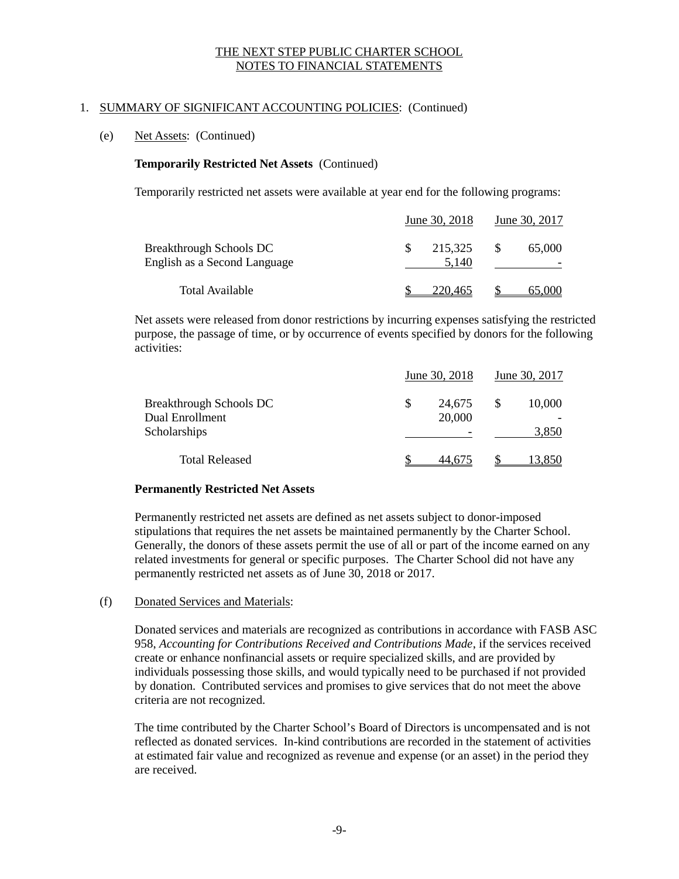## 1. SUMMARY OF SIGNIFICANT ACCOUNTING POLICIES: (Continued)

(e) Net Assets: (Continued)

## **Temporarily Restricted Net Assets** (Continued)

Temporarily restricted net assets were available at year end for the following programs:

|                                                                | June 30, 2018    | June 30, 2017 |
|----------------------------------------------------------------|------------------|---------------|
| <b>Breakthrough Schools DC</b><br>English as a Second Language | 215,325<br>5.140 | 65,000        |
| Total Available                                                | 220,465          | 65,000        |

Net assets were released from donor restrictions by incurring expenses satisfying the restricted purpose, the passage of time, or by occurrence of events specified by donors for the following activities:

|                                                            | June 30, 2018          | June 30, 2017   |
|------------------------------------------------------------|------------------------|-----------------|
| Breakthrough Schools DC<br>Dual Enrollment<br>Scholarships | \$<br>24,675<br>20,000 | 10,000<br>3,850 |
| <b>Total Released</b>                                      | 44.675                 |                 |

## **Permanently Restricted Net Assets**

Permanently restricted net assets are defined as net assets subject to donor-imposed stipulations that requires the net assets be maintained permanently by the Charter School. Generally, the donors of these assets permit the use of all or part of the income earned on any related investments for general or specific purposes. The Charter School did not have any permanently restricted net assets as of June 30, 2018 or 2017.

#### (f) Donated Services and Materials:

Donated services and materials are recognized as contributions in accordance with FASB ASC 958, *Accounting for Contributions Received and Contributions Made*, if the services received create or enhance nonfinancial assets or require specialized skills, and are provided by individuals possessing those skills, and would typically need to be purchased if not provided by donation. Contributed services and promises to give services that do not meet the above criteria are not recognized.

The time contributed by the Charter School's Board of Directors is uncompensated and is not reflected as donated services. In-kind contributions are recorded in the statement of activities at estimated fair value and recognized as revenue and expense (or an asset) in the period they are received.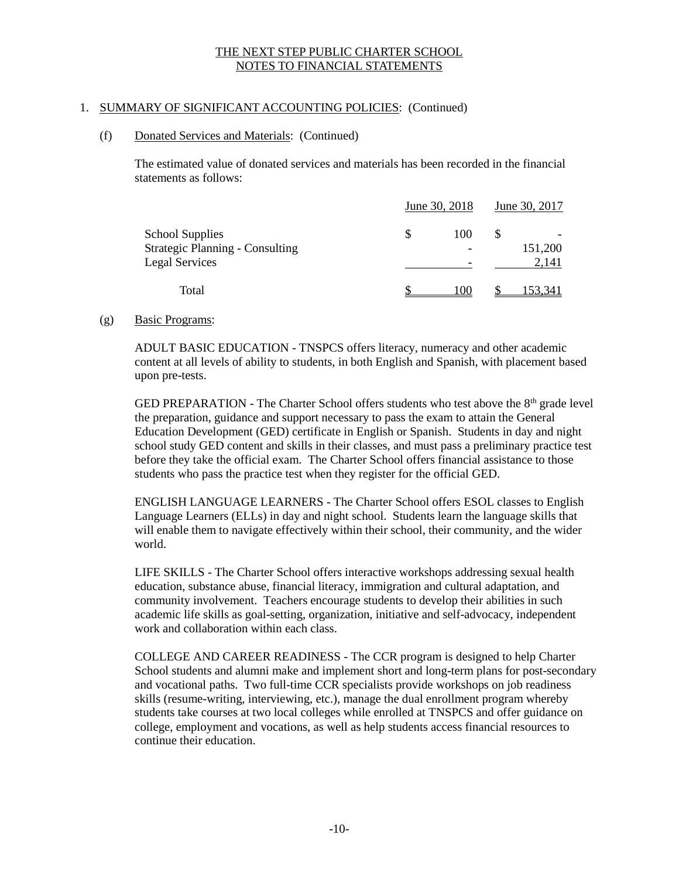## 1. SUMMARY OF SIGNIFICANT ACCOUNTING POLICIES: (Continued)

#### (f) Donated Services and Materials: (Continued)

The estimated value of donated services and materials has been recorded in the financial statements as follows:

|                                        |   | June 30, 2018 | June 30, 2017 |
|----------------------------------------|---|---------------|---------------|
| <b>School Supplies</b>                 | S | 100           |               |
| <b>Strategic Planning - Consulting</b> |   |               | 151,200       |
| <b>Legal Services</b>                  |   |               | 2,141         |
| Total                                  |   | 100           | 153,341       |

## (g) Basic Programs:

ADULT BASIC EDUCATION - TNSPCS offers literacy, numeracy and other academic content at all levels of ability to students, in both English and Spanish, with placement based upon pre-tests.

GED PREPARATION - The Charter School offers students who test above the  $8<sup>th</sup>$  grade level the preparation, guidance and support necessary to pass the exam to attain the General Education Development (GED) certificate in English or Spanish. Students in day and night school study GED content and skills in their classes, and must pass a preliminary practice test before they take the official exam. The Charter School offers financial assistance to those students who pass the practice test when they register for the official GED.

ENGLISH LANGUAGE LEARNERS - The Charter School offers ESOL classes to English Language Learners (ELLs) in day and night school. Students learn the language skills that will enable them to navigate effectively within their school, their community, and the wider world.

LIFE SKILLS - The Charter School offers interactive workshops addressing sexual health education, substance abuse, financial literacy, immigration and cultural adaptation, and community involvement. Teachers encourage students to develop their abilities in such academic life skills as goal-setting, organization, initiative and self-advocacy, independent work and collaboration within each class.

COLLEGE AND CAREER READINESS - The CCR program is designed to help Charter School students and alumni make and implement short and long-term plans for post-secondary and vocational paths. Two full-time CCR specialists provide workshops on job readiness skills (resume-writing, interviewing, etc.), manage the dual enrollment program whereby students take courses at two local colleges while enrolled at TNSPCS and offer guidance on college, employment and vocations, as well as help students access financial resources to continue their education.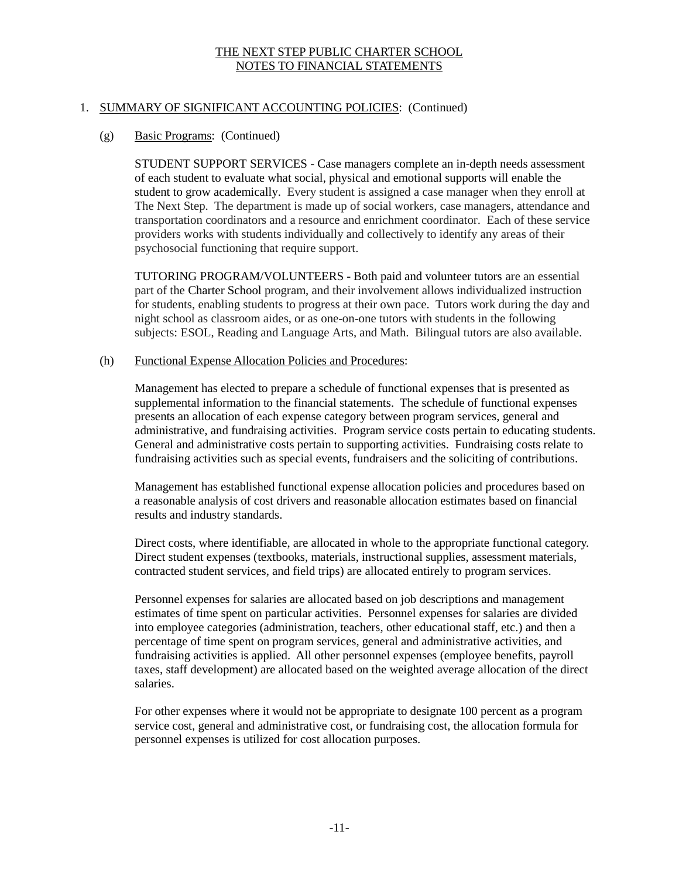# 1. SUMMARY OF SIGNIFICANT ACCOUNTING POLICIES: (Continued)

#### (g) Basic Programs: (Continued)

STUDENT SUPPORT SERVICES - Case managers complete an in-depth needs assessment of each student to evaluate what social, physical and emotional supports will enable the student to grow academically. Every student is assigned a case manager when they enroll at The Next Step. The department is made up of social workers, case managers, attendance and transportation coordinators and a resource and enrichment coordinator. Each of these service providers works with students individually and collectively to identify any areas of their psychosocial functioning that require support.

TUTORING PROGRAM/VOLUNTEERS - Both paid and volunteer tutors are an essential part of the Charter School program, and their involvement allows individualized instruction for students, enabling students to progress at their own pace. Tutors work during the day and night school as classroom aides, or as one-on-one tutors with students in the following subjects: ESOL, Reading and Language Arts, and Math. Bilingual tutors are also available.

#### (h) Functional Expense Allocation Policies and Procedures:

Management has elected to prepare a schedule of functional expenses that is presented as supplemental information to the financial statements. The schedule of functional expenses presents an allocation of each expense category between program services, general and administrative, and fundraising activities. Program service costs pertain to educating students. General and administrative costs pertain to supporting activities. Fundraising costs relate to fundraising activities such as special events, fundraisers and the soliciting of contributions.

Management has established functional expense allocation policies and procedures based on a reasonable analysis of cost drivers and reasonable allocation estimates based on financial results and industry standards.

Direct costs, where identifiable, are allocated in whole to the appropriate functional category. Direct student expenses (textbooks, materials, instructional supplies, assessment materials, contracted student services, and field trips) are allocated entirely to program services.

Personnel expenses for salaries are allocated based on job descriptions and management estimates of time spent on particular activities. Personnel expenses for salaries are divided into employee categories (administration, teachers, other educational staff, etc.) and then a percentage of time spent on program services, general and administrative activities, and fundraising activities is applied. All other personnel expenses (employee benefits, payroll taxes, staff development) are allocated based on the weighted average allocation of the direct salaries.

For other expenses where it would not be appropriate to designate 100 percent as a program service cost, general and administrative cost, or fundraising cost, the allocation formula for personnel expenses is utilized for cost allocation purposes.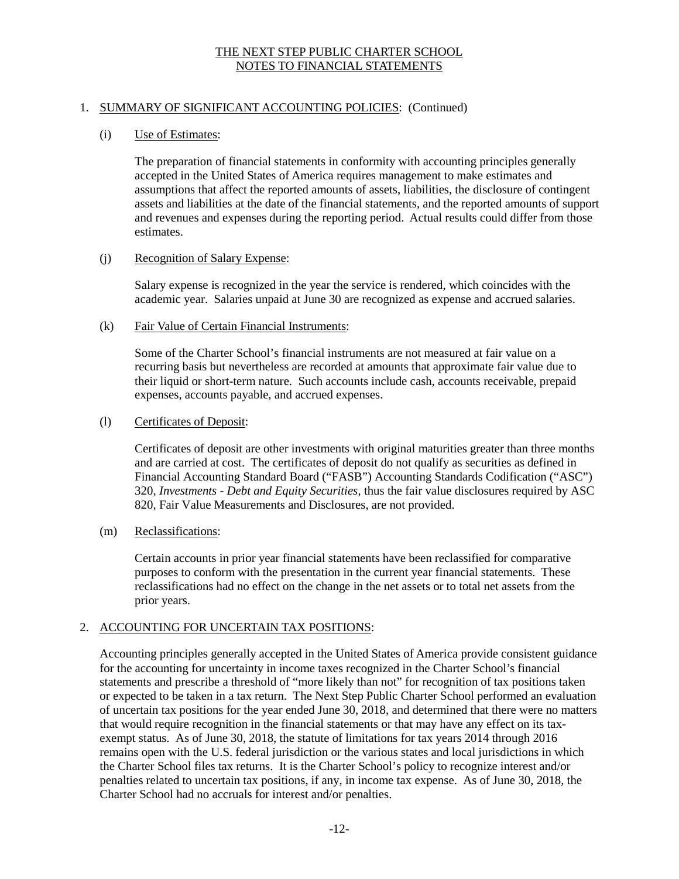# 1. SUMMARY OF SIGNIFICANT ACCOUNTING POLICIES: (Continued)

## (i) Use of Estimates:

The preparation of financial statements in conformity with accounting principles generally accepted in the United States of America requires management to make estimates and assumptions that affect the reported amounts of assets, liabilities, the disclosure of contingent assets and liabilities at the date of the financial statements, and the reported amounts of support and revenues and expenses during the reporting period. Actual results could differ from those estimates.

#### (j) Recognition of Salary Expense:

Salary expense is recognized in the year the service is rendered, which coincides with the academic year. Salaries unpaid at June 30 are recognized as expense and accrued salaries.

#### (k) Fair Value of Certain Financial Instruments:

Some of the Charter School's financial instruments are not measured at fair value on a recurring basis but nevertheless are recorded at amounts that approximate fair value due to their liquid or short-term nature. Such accounts include cash, accounts receivable, prepaid expenses, accounts payable, and accrued expenses.

#### (l) Certificates of Deposit:

Certificates of deposit are other investments with original maturities greater than three months and are carried at cost. The certificates of deposit do not qualify as securities as defined in Financial Accounting Standard Board ("FASB") Accounting Standards Codification ("ASC") 320, *Investments - Debt and Equity Securities*, thus the fair value disclosures required by ASC 820, Fair Value Measurements and Disclosures, are not provided.

## (m) Reclassifications:

Certain accounts in prior year financial statements have been reclassified for comparative purposes to conform with the presentation in the current year financial statements. These reclassifications had no effect on the change in the net assets or to total net assets from the prior years.

## 2. ACCOUNTING FOR UNCERTAIN TAX POSITIONS:

Accounting principles generally accepted in the United States of America provide consistent guidance for the accounting for uncertainty in income taxes recognized in the Charter School's financial statements and prescribe a threshold of "more likely than not" for recognition of tax positions taken or expected to be taken in a tax return. The Next Step Public Charter School performed an evaluation of uncertain tax positions for the year ended June 30, 2018, and determined that there were no matters that would require recognition in the financial statements or that may have any effect on its taxexempt status. As of June 30, 2018, the statute of limitations for tax years 2014 through 2016 remains open with the U.S. federal jurisdiction or the various states and local jurisdictions in which the Charter School files tax returns. It is the Charter School's policy to recognize interest and/or penalties related to uncertain tax positions, if any, in income tax expense. As of June 30, 2018, the Charter School had no accruals for interest and/or penalties.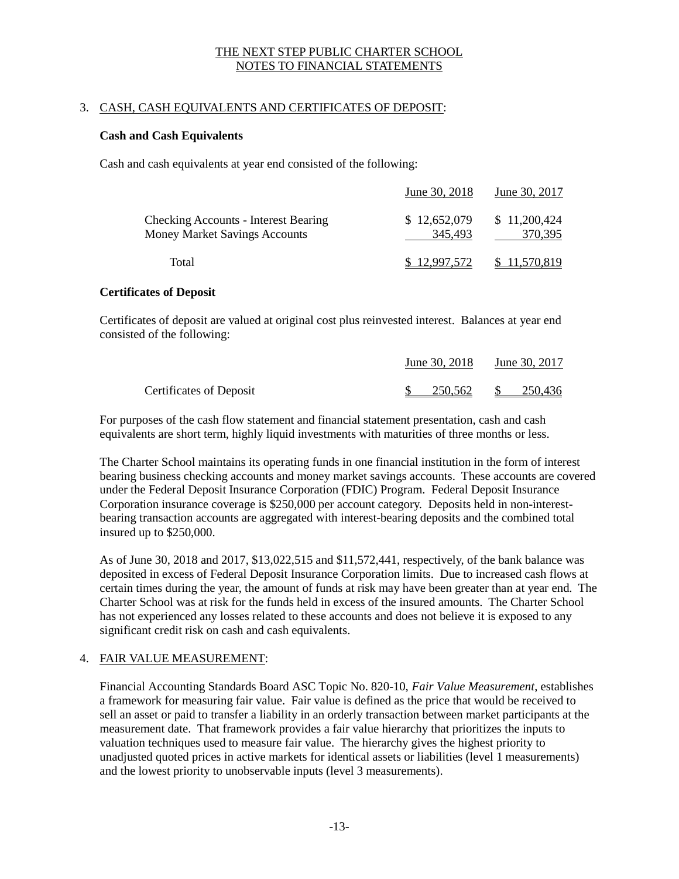# 3. CASH, CASH EQUIVALENTS AND CERTIFICATES OF DEPOSIT:

## **Cash and Cash Equivalents**

Cash and cash equivalents at year end consisted of the following:

|                                                                                     | June 30, 2018           | June 30, 2017           |
|-------------------------------------------------------------------------------------|-------------------------|-------------------------|
| <b>Checking Accounts - Interest Bearing</b><br><b>Money Market Savings Accounts</b> | \$12,652,079<br>345,493 | \$11,200,424<br>370,395 |
| Total                                                                               | 12.997.572              | \$11,570,819            |

## **Certificates of Deposit**

Certificates of deposit are valued at original cost plus reinvested interest. Balances at year end consisted of the following:

|                                | June 30, 2018 June 30, 2017 |                      |
|--------------------------------|-----------------------------|----------------------|
| <b>Certificates of Deposit</b> | $\frac{\$}{250,562}$        | $\frac{\$}{250,436}$ |

For purposes of the cash flow statement and financial statement presentation, cash and cash equivalents are short term, highly liquid investments with maturities of three months or less.

The Charter School maintains its operating funds in one financial institution in the form of interest bearing business checking accounts and money market savings accounts. These accounts are covered under the Federal Deposit Insurance Corporation (FDIC) Program. Federal Deposit Insurance Corporation insurance coverage is \$250,000 per account category. Deposits held in non-interestbearing transaction accounts are aggregated with interest-bearing deposits and the combined total insured up to \$250,000.

As of June 30, 2018 and 2017, \$13,022,515 and \$11,572,441, respectively, of the bank balance was deposited in excess of Federal Deposit Insurance Corporation limits. Due to increased cash flows at certain times during the year, the amount of funds at risk may have been greater than at year end. The Charter School was at risk for the funds held in excess of the insured amounts. The Charter School has not experienced any losses related to these accounts and does not believe it is exposed to any significant credit risk on cash and cash equivalents.

# 4. FAIR VALUE MEASUREMENT:

Financial Accounting Standards Board ASC Topic No. 820-10, *Fair Value Measurement*, establishes a framework for measuring fair value. Fair value is defined as the price that would be received to sell an asset or paid to transfer a liability in an orderly transaction between market participants at the measurement date. That framework provides a fair value hierarchy that prioritizes the inputs to valuation techniques used to measure fair value. The hierarchy gives the highest priority to unadjusted quoted prices in active markets for identical assets or liabilities (level 1 measurements) and the lowest priority to unobservable inputs (level 3 measurements).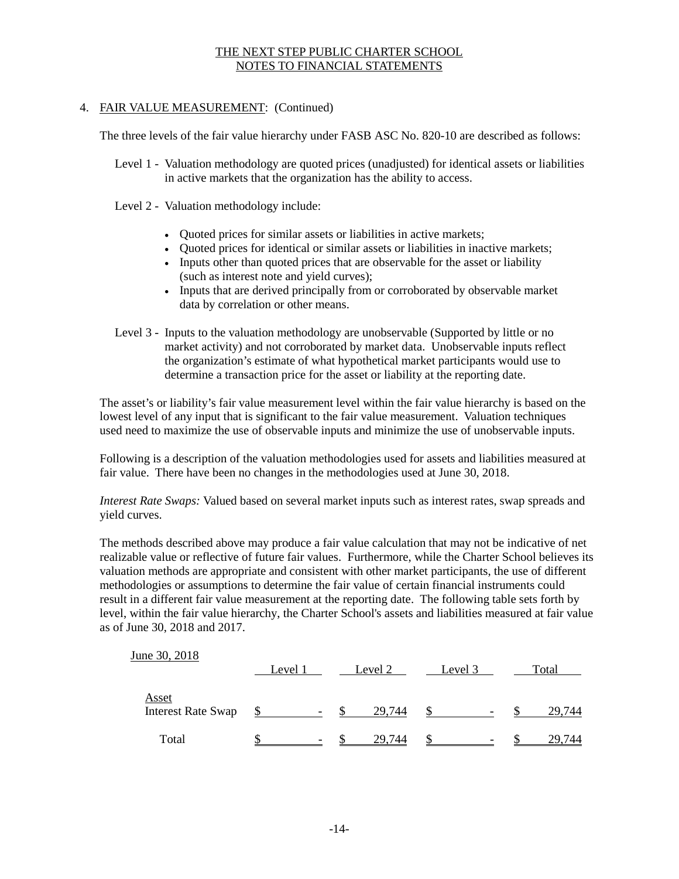# 4. FAIR VALUE MEASUREMENT: (Continued)

The three levels of the fair value hierarchy under FASB ASC No. 820-10 are described as follows:

- Level 1 Valuation methodology are quoted prices (unadjusted) for identical assets or liabilities in active markets that the organization has the ability to access.
- Level 2 Valuation methodology include:
	- Quoted prices for similar assets or liabilities in active markets;
	- Quoted prices for identical or similar assets or liabilities in inactive markets;
	- Inputs other than quoted prices that are observable for the asset or liability (such as interest note and yield curves);
	- Inputs that are derived principally from or corroborated by observable market data by correlation or other means.
- Level 3 Inputs to the valuation methodology are unobservable (Supported by little or no market activity) and not corroborated by market data. Unobservable inputs reflect the organization's estimate of what hypothetical market participants would use to determine a transaction price for the asset or liability at the reporting date.

The asset's or liability's fair value measurement level within the fair value hierarchy is based on the lowest level of any input that is significant to the fair value measurement. Valuation techniques used need to maximize the use of observable inputs and minimize the use of unobservable inputs.

Following is a description of the valuation methodologies used for assets and liabilities measured at fair value. There have been no changes in the methodologies used at June 30, 2018.

*Interest Rate Swaps:* Valued based on several market inputs such as interest rates, swap spreads and yield curves.

The methods described above may produce a fair value calculation that may not be indicative of net realizable value or reflective of future fair values. Furthermore, while the Charter School believes its valuation methods are appropriate and consistent with other market participants, the use of different methodologies or assumptions to determine the fair value of certain financial instruments could result in a different fair value measurement at the reporting date. The following table sets forth by level, within the fair value hierarchy, the Charter School's assets and liabilities measured at fair value as of June 30, 2018 and 2017.

| June 30, 2018                      | Level 1 | Level 2 | Level 3                  | Total  |
|------------------------------------|---------|---------|--------------------------|--------|
| Asset<br><b>Interest Rate Swap</b> |         | 29.744  | $\overline{\phantom{0}}$ | 29.744 |
| Total                              | -       | 29.744  |                          | 29.744 |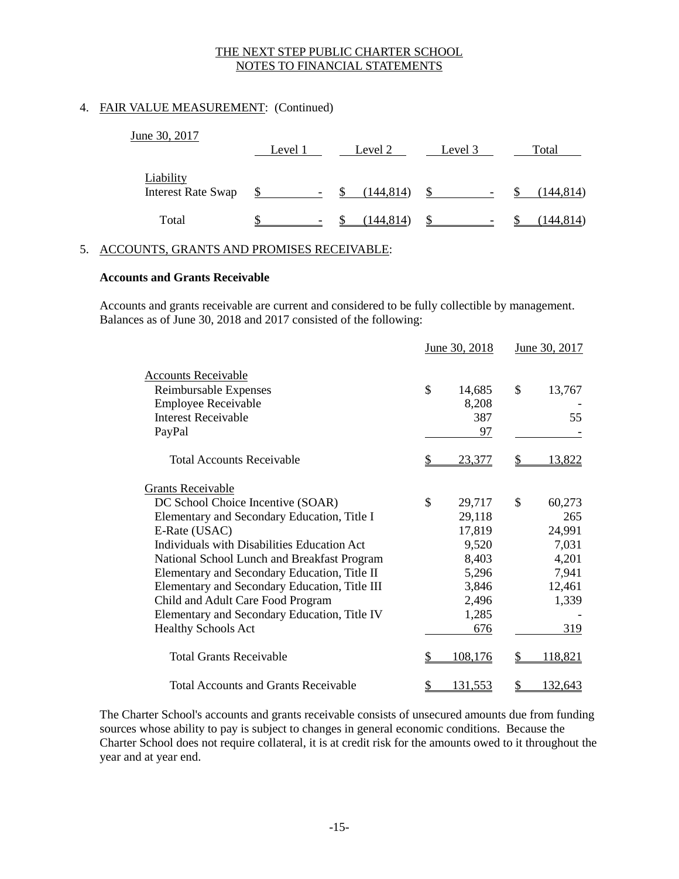# 4. FAIR VALUE MEASUREMENT: (Continued)

| June 30, 2017                          | Level 1                  |                          | Level 2    | Level 3 |                          | Total      |
|----------------------------------------|--------------------------|--------------------------|------------|---------|--------------------------|------------|
| Liability<br><b>Interest Rate Swap</b> | $\overline{\phantom{0}}$ |                          | (144, 814) |         | $\overline{\phantom{0}}$ | (144, 814) |
| Total                                  |                          | $\overline{\phantom{0}}$ | (144.814)  |         |                          | 144,814)   |

## 5. ACCOUNTS, GRANTS AND PROMISES RECEIVABLE:

## **Accounts and Grants Receivable**

Accounts and grants receivable are current and considered to be fully collectible by management. Balances as of June 30, 2018 and 2017 consisted of the following:

|                                                                                                                                                                                                                                                                                                                                                                                                                                                 | June 30, 2018                                                                                 | June 30, 2017                                                                      |
|-------------------------------------------------------------------------------------------------------------------------------------------------------------------------------------------------------------------------------------------------------------------------------------------------------------------------------------------------------------------------------------------------------------------------------------------------|-----------------------------------------------------------------------------------------------|------------------------------------------------------------------------------------|
| <b>Accounts Receivable</b><br>Reimbursable Expenses<br><b>Employee Receivable</b><br>Interest Receivable<br>PayPal                                                                                                                                                                                                                                                                                                                              | \$<br>14,685<br>8,208<br>387<br>97                                                            | \$<br>13,767<br>55                                                                 |
| <b>Total Accounts Receivable</b>                                                                                                                                                                                                                                                                                                                                                                                                                | 23,377                                                                                        | <u>13,822</u>                                                                      |
| <b>Grants Receivable</b><br>DC School Choice Incentive (SOAR)<br>Elementary and Secondary Education, Title I<br>E-Rate (USAC)<br>Individuals with Disabilities Education Act<br>National School Lunch and Breakfast Program<br>Elementary and Secondary Education, Title II<br>Elementary and Secondary Education, Title III<br>Child and Adult Care Food Program<br>Elementary and Secondary Education, Title IV<br><b>Healthy Schools Act</b> | \$<br>29,717<br>29,118<br>17,819<br>9,520<br>8,403<br>5,296<br>3,846<br>2,496<br>1,285<br>676 | \$<br>60,273<br>265<br>24,991<br>7,031<br>4,201<br>7,941<br>12,461<br>1,339<br>319 |
| <b>Total Grants Receivable</b>                                                                                                                                                                                                                                                                                                                                                                                                                  | S<br>108,176                                                                                  | 118,821                                                                            |
| <b>Total Accounts and Grants Receivable</b>                                                                                                                                                                                                                                                                                                                                                                                                     | <u>131,553</u>                                                                                | <u>132,643</u><br>S                                                                |

The Charter School's accounts and grants receivable consists of unsecured amounts due from funding sources whose ability to pay is subject to changes in general economic conditions. Because the Charter School does not require collateral, it is at credit risk for the amounts owed to it throughout the year and at year end.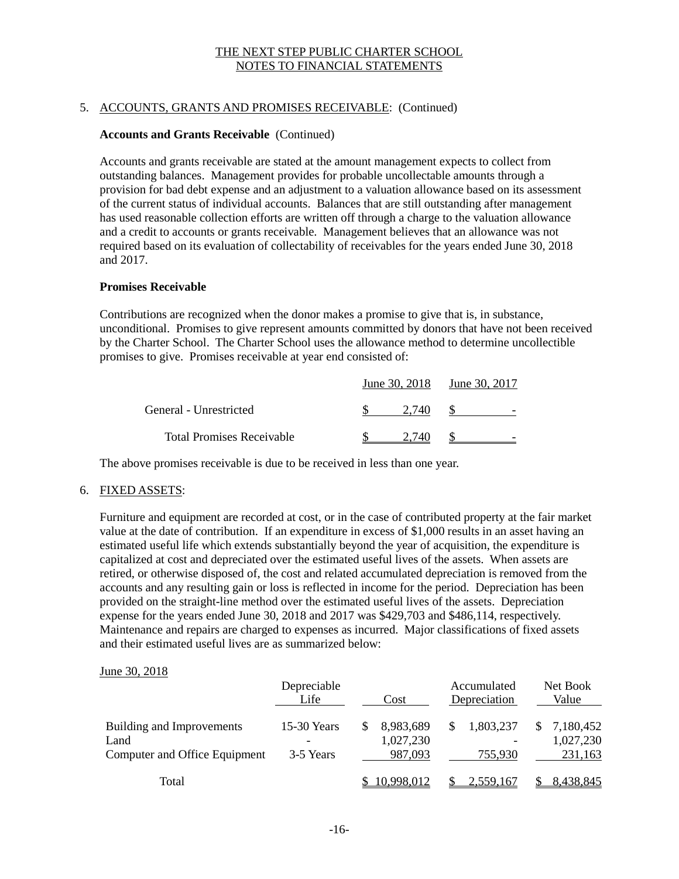## 5. ACCOUNTS, GRANTS AND PROMISES RECEIVABLE: (Continued)

## **Accounts and Grants Receivable** (Continued)

Accounts and grants receivable are stated at the amount management expects to collect from outstanding balances. Management provides for probable uncollectable amounts through a provision for bad debt expense and an adjustment to a valuation allowance based on its assessment of the current status of individual accounts. Balances that are still outstanding after management has used reasonable collection efforts are written off through a charge to the valuation allowance and a credit to accounts or grants receivable. Management believes that an allowance was not required based on its evaluation of collectability of receivables for the years ended June 30, 2018 and 2017.

## **Promises Receivable**

Contributions are recognized when the donor makes a promise to give that is, in substance, unconditional. Promises to give represent amounts committed by donors that have not been received by the Charter School. The Charter School uses the allowance method to determine uncollectible promises to give. Promises receivable at year end consisted of:

|                                  | June 30, 2018 | June 30, 2017 |  |
|----------------------------------|---------------|---------------|--|
| General - Unrestricted           | 2.740         |               |  |
| <b>Total Promises Receivable</b> |               |               |  |

The above promises receivable is due to be received in less than one year.

## 6. FIXED ASSETS:

Furniture and equipment are recorded at cost, or in the case of contributed property at the fair market value at the date of contribution. If an expenditure in excess of \$1,000 results in an asset having an estimated useful life which extends substantially beyond the year of acquisition, the expenditure is capitalized at cost and depreciated over the estimated useful lives of the assets. When assets are retired, or otherwise disposed of, the cost and related accumulated depreciation is removed from the accounts and any resulting gain or loss is reflected in income for the period. Depreciation has been provided on the straight-line method over the estimated useful lives of the assets. Depreciation expense for the years ended June 30, 2018 and 2017 was \$429,703 and \$486,114, respectively. Maintenance and repairs are charged to expenses as incurred. Major classifications of fixed assets and their estimated useful lives are as summarized below:

#### June 30, 2018

|                                                                    | Depreciable<br>Life      | Cost                              | Accumulated<br>Depreciation | Net Book<br>Value                       |
|--------------------------------------------------------------------|--------------------------|-----------------------------------|-----------------------------|-----------------------------------------|
| Building and Improvements<br>Land<br>Computer and Office Equipment | 15-30 Years<br>3-5 Years | 8,983,689<br>1,027,230<br>987,093 | 1,803,237<br>\$.<br>755,930 | 7,180,452<br>S.<br>1,027,230<br>231,163 |
| Total                                                              |                          | 10,998,012                        | 2.559.167                   | 8.438.845                               |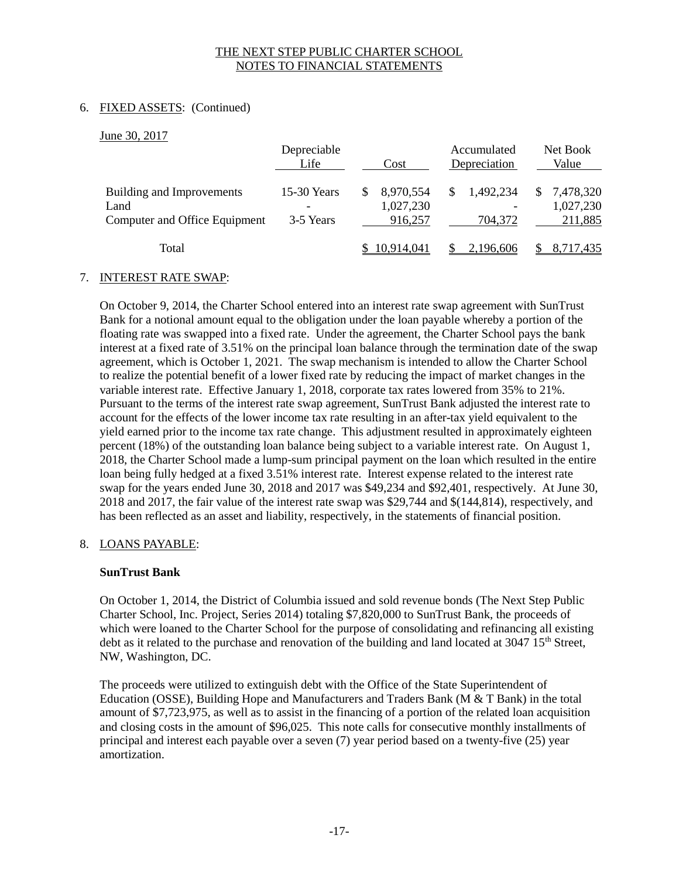# 6. FIXED ASSETS: (Continued)

#### June 30, 2017

|                                                                    | Depreciable<br>Life      | Cost                              | Accumulated<br>Depreciation | Net Book<br>Value                       |
|--------------------------------------------------------------------|--------------------------|-----------------------------------|-----------------------------|-----------------------------------------|
| Building and Improvements<br>Land<br>Computer and Office Equipment | 15-30 Years<br>3-5 Years | 8,970,554<br>1,027,230<br>916.257 | 1,492,234<br>S.<br>704.372  | 7,478,320<br>S.<br>1,027,230<br>211,885 |
| Total                                                              |                          | 10,914,041                        | 2,196,606                   | 8,717,435                               |

## 7. INTEREST RATE SWAP:

On October 9, 2014, the Charter School entered into an interest rate swap agreement with SunTrust Bank for a notional amount equal to the obligation under the loan payable whereby a portion of the floating rate was swapped into a fixed rate. Under the agreement, the Charter School pays the bank interest at a fixed rate of 3.51% on the principal loan balance through the termination date of the swap agreement, which is October 1, 2021. The swap mechanism is intended to allow the Charter School to realize the potential benefit of a lower fixed rate by reducing the impact of market changes in the variable interest rate. Effective January 1, 2018, corporate tax rates lowered from 35% to 21%. Pursuant to the terms of the interest rate swap agreement, SunTrust Bank adjusted the interest rate to account for the effects of the lower income tax rate resulting in an after-tax yield equivalent to the yield earned prior to the income tax rate change. This adjustment resulted in approximately eighteen percent (18%) of the outstanding loan balance being subject to a variable interest rate. On August 1, 2018, the Charter School made a lump-sum principal payment on the loan which resulted in the entire loan being fully hedged at a fixed 3.51% interest rate. Interest expense related to the interest rate swap for the years ended June 30, 2018 and 2017 was \$49,234 and \$92,401, respectively. At June 30, 2018 and 2017, the fair value of the interest rate swap was \$29,744 and \$(144,814), respectively, and has been reflected as an asset and liability, respectively, in the statements of financial position.

## 8. LOANS PAYABLE:

## **SunTrust Bank**

On October 1, 2014, the District of Columbia issued and sold revenue bonds (The Next Step Public Charter School, Inc. Project, Series 2014) totaling \$7,820,000 to SunTrust Bank, the proceeds of which were loaned to the Charter School for the purpose of consolidating and refinancing all existing debt as it related to the purchase and renovation of the building and land located at 3047 15<sup>th</sup> Street, NW, Washington, DC.

The proceeds were utilized to extinguish debt with the Office of the State Superintendent of Education (OSSE), Building Hope and Manufacturers and Traders Bank (M & T Bank) in the total amount of \$7,723,975, as well as to assist in the financing of a portion of the related loan acquisition and closing costs in the amount of \$96,025. This note calls for consecutive monthly installments of principal and interest each payable over a seven (7) year period based on a twenty-five (25) year amortization.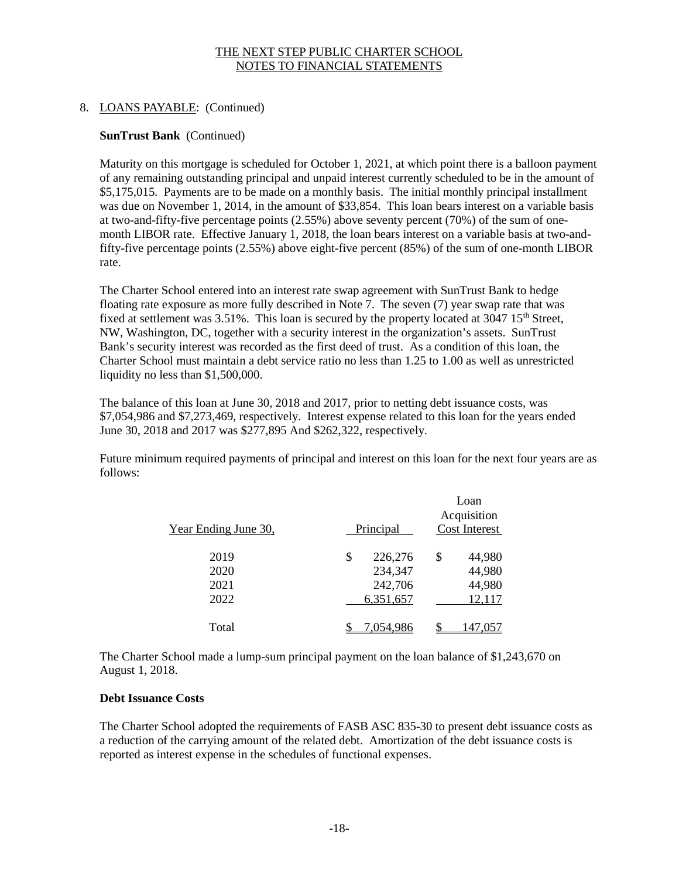## 8. LOANS PAYABLE: (Continued)

## **SunTrust Bank** (Continued)

Maturity on this mortgage is scheduled for October 1, 2021, at which point there is a balloon payment of any remaining outstanding principal and unpaid interest currently scheduled to be in the amount of \$5,175,015. Payments are to be made on a monthly basis. The initial monthly principal installment was due on November 1, 2014, in the amount of \$33,854. This loan bears interest on a variable basis at two-and-fifty-five percentage points (2.55%) above seventy percent (70%) of the sum of onemonth LIBOR rate. Effective January 1, 2018, the loan bears interest on a variable basis at two-andfifty-five percentage points (2.55%) above eight-five percent (85%) of the sum of one-month LIBOR rate.

The Charter School entered into an interest rate swap agreement with SunTrust Bank to hedge floating rate exposure as more fully described in Note 7. The seven (7) year swap rate that was fixed at settlement was  $3.51\%$ . This loan is secured by the property located at  $3047\;15^{th}$  Street, NW, Washington, DC, together with a security interest in the organization's assets. SunTrust Bank's security interest was recorded as the first deed of trust. As a condition of this loan, the Charter School must maintain a debt service ratio no less than 1.25 to 1.00 as well as unrestricted liquidity no less than \$1,500,000.

The balance of this loan at June 30, 2018 and 2017, prior to netting debt issuance costs, was \$7,054,986 and \$7,273,469, respectively. Interest expense related to this loan for the years ended June 30, 2018 and 2017 was \$277,895 And \$262,322, respectively.

Future minimum required payments of principal and interest on this loan for the next four years are as follows:

| Year Ending June 30, | Principal     |         | Loan<br>Acquisition<br><b>Cost Interest</b> |
|----------------------|---------------|---------|---------------------------------------------|
| 2019                 | \$<br>226,276 | \$      | 44,980                                      |
| 2020                 | 234,347       |         | 44,980                                      |
| 2021                 |               | 242,706 | 44,980                                      |
| 2022                 | 6,351,657     |         | 12,117                                      |
| Total                | 7,054.986     |         |                                             |

The Charter School made a lump-sum principal payment on the loan balance of \$1,243,670 on August 1, 2018.

#### **Debt Issuance Costs**

The Charter School adopted the requirements of FASB ASC 835-30 to present debt issuance costs as a reduction of the carrying amount of the related debt. Amortization of the debt issuance costs is reported as interest expense in the schedules of functional expenses.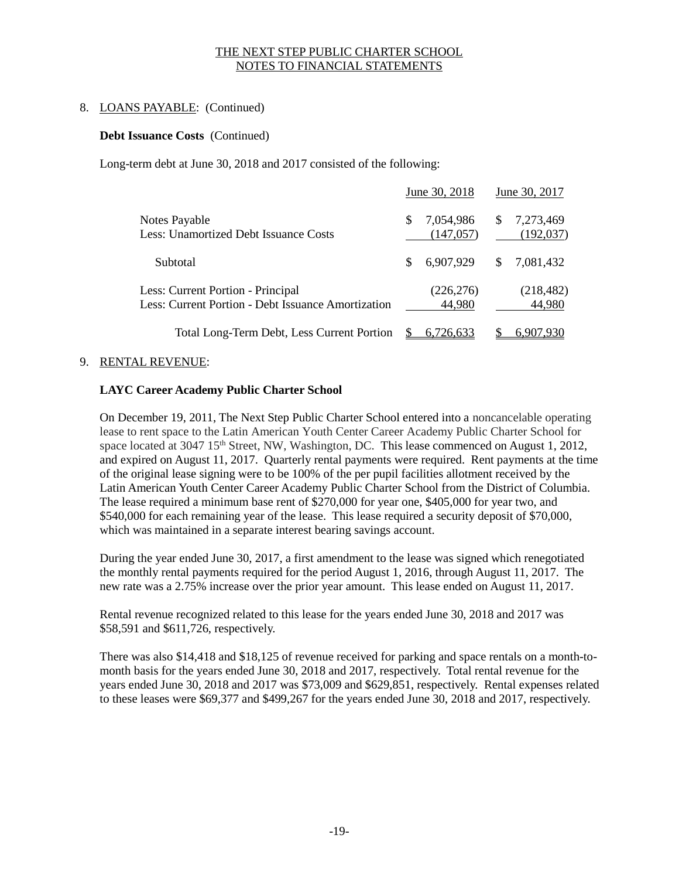# 8. LOANS PAYABLE: (Continued)

## **Debt Issuance Costs** (Continued)

Long-term debt at June 30, 2018 and 2017 consisted of the following:

|                                                                                         | June 30, 2018           |     | June 30, 2017           |
|-----------------------------------------------------------------------------------------|-------------------------|-----|-------------------------|
| Notes Payable<br><b>Less: Unamortized Debt Issuance Costs</b>                           | 7,054,986<br>(147, 057) | \$. | 7,273,469<br>(192, 037) |
| Subtotal                                                                                | 6,907,929               | S   | 7,081,432               |
| Less: Current Portion - Principal<br>Less: Current Portion - Debt Issuance Amortization | (226, 276)<br>44,980    |     | (218, 482)<br>44,980    |
| Total Long-Term Debt, Less Current Portion                                              | 6.726.633               |     | 6.907,930               |

## 9. RENTAL REVENUE:

## **LAYC Career Academy Public Charter School**

On December 19, 2011, The Next Step Public Charter School entered into a noncancelable operating lease to rent space to the Latin American Youth Center Career Academy Public Charter School for space located at 3047 15<sup>th</sup> Street, NW, Washington, DC. This lease commenced on August 1, 2012, and expired on August 11, 2017. Quarterly rental payments were required. Rent payments at the time of the original lease signing were to be 100% of the per pupil facilities allotment received by the Latin American Youth Center Career Academy Public Charter School from the District of Columbia. The lease required a minimum base rent of \$270,000 for year one, \$405,000 for year two, and \$540,000 for each remaining year of the lease. This lease required a security deposit of \$70,000, which was maintained in a separate interest bearing savings account.

During the year ended June 30, 2017, a first amendment to the lease was signed which renegotiated the monthly rental payments required for the period August 1, 2016, through August 11, 2017. The new rate was a 2.75% increase over the prior year amount. This lease ended on August 11, 2017.

Rental revenue recognized related to this lease for the years ended June 30, 2018 and 2017 was \$58,591 and \$611,726, respectively.

There was also \$14,418 and \$18,125 of revenue received for parking and space rentals on a month-tomonth basis for the years ended June 30, 2018 and 2017, respectively. Total rental revenue for the years ended June 30, 2018 and 2017 was \$73,009 and \$629,851, respectively. Rental expenses related to these leases were \$69,377 and \$499,267 for the years ended June 30, 2018 and 2017, respectively.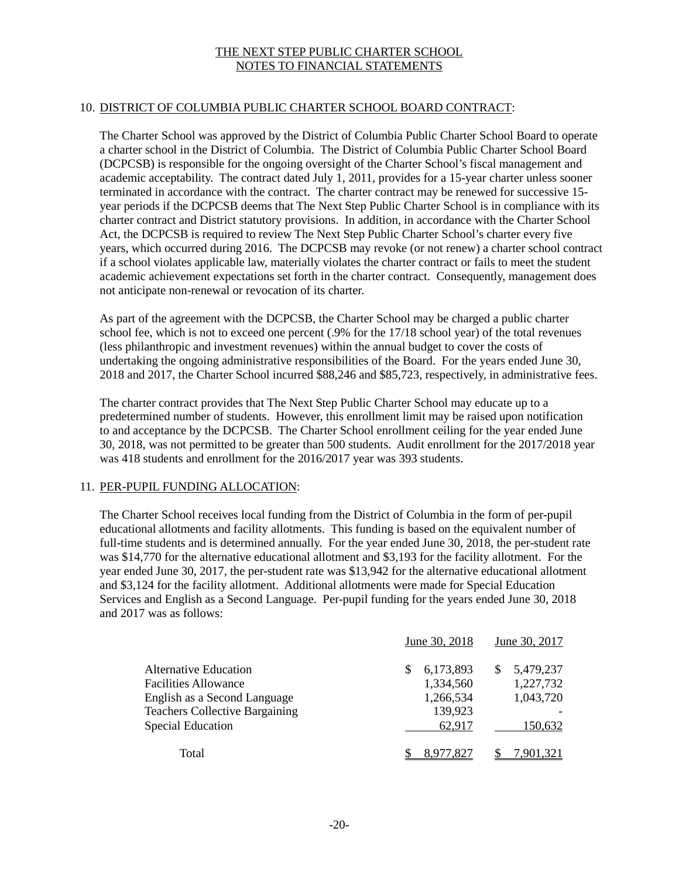## 10. DISTRICT OF COLUMBIA PUBLIC CHARTER SCHOOL BOARD CONTRACT:

The Charter School was approved by the District of Columbia Public Charter School Board to operate a charter school in the District of Columbia. The District of Columbia Public Charter School Board (DCPCSB) is responsible for the ongoing oversight of the Charter School's fiscal management and academic acceptability. The contract dated July 1, 2011, provides for a 15-year charter unless sooner terminated in accordance with the contract. The charter contract may be renewed for successive 15 year periods if the DCPCSB deems that The Next Step Public Charter School is in compliance with its charter contract and District statutory provisions. In addition, in accordance with the Charter School Act, the DCPCSB is required to review The Next Step Public Charter School's charter every five years, which occurred during 2016. The DCPCSB may revoke (or not renew) a charter school contract if a school violates applicable law, materially violates the charter contract or fails to meet the student academic achievement expectations set forth in the charter contract. Consequently, management does not anticipate non-renewal or revocation of its charter.

As part of the agreement with the DCPCSB, the Charter School may be charged a public charter school fee, which is not to exceed one percent (.9% for the 17/18 school year) of the total revenues (less philanthropic and investment revenues) within the annual budget to cover the costs of undertaking the ongoing administrative responsibilities of the Board. For the years ended June 30, 2018 and 2017, the Charter School incurred \$88,246 and \$85,723, respectively, in administrative fees.

The charter contract provides that The Next Step Public Charter School may educate up to a predetermined number of students. However, this enrollment limit may be raised upon notification to and acceptance by the DCPCSB. The Charter School enrollment ceiling for the year ended June 30, 2018, was not permitted to be greater than 500 students. Audit enrollment for the 2017/2018 year was 418 students and enrollment for the 2016/2017 year was 393 students.

## 11. PER-PUPIL FUNDING ALLOCATION:

The Charter School receives local funding from the District of Columbia in the form of per-pupil educational allotments and facility allotments. This funding is based on the equivalent number of full-time students and is determined annually. For the year ended June 30, 2018, the per-student rate was \$14,770 for the alternative educational allotment and \$3,193 for the facility allotment. For the year ended June 30, 2017, the per-student rate was \$13,942 for the alternative educational allotment and \$3,124 for the facility allotment. Additional allotments were made for Special Education Services and English as a Second Language. Per-pupil funding for the years ended June 30, 2018 and 2017 was as follows:

|                                       | June 30, 2018 |   | June 30, 2017 |
|---------------------------------------|---------------|---|---------------|
| Alternative Education                 | 6,173,893     | S | 5,479,237     |
| <b>Facilities Allowance</b>           | 1,334,560     |   | 1,227,732     |
| English as a Second Language          | 1,266,534     |   | 1,043,720     |
| <b>Teachers Collective Bargaining</b> | 139,923       |   |               |
| <b>Special Education</b>              | 62,917        |   | 150,632       |
| Total                                 | 8,977,827     |   | .901,321      |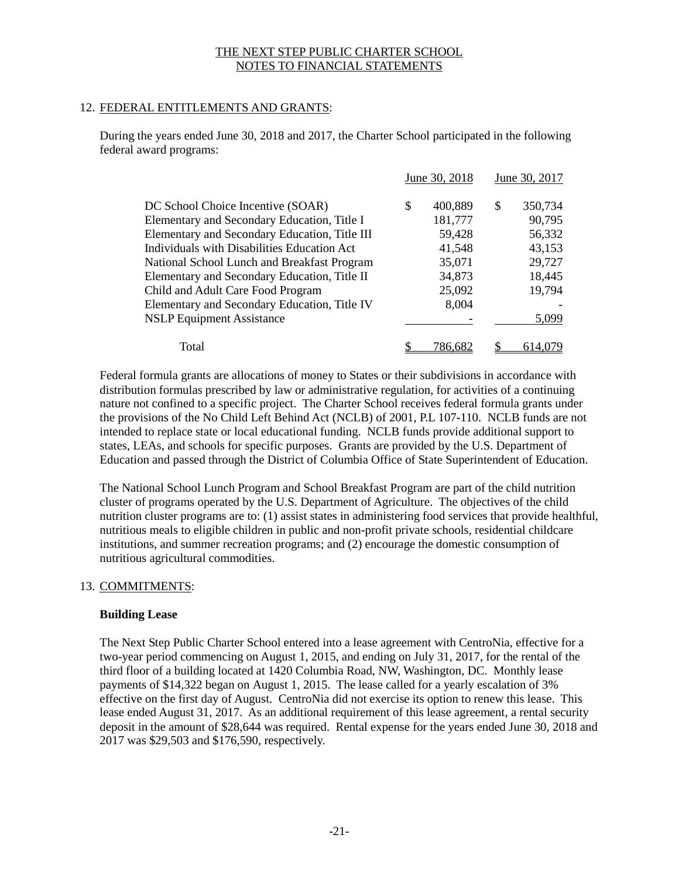## 12. FEDERAL ENTITLEMENTS AND GRANTS:

During the years ended June 30, 2018 and 2017, the Charter School participated in the following federal award programs:

|                                               | June 30, 2018 | June 30, 2017 |
|-----------------------------------------------|---------------|---------------|
| DC School Choice Incentive (SOAR)             | \$<br>400,889 | \$<br>350,734 |
| Elementary and Secondary Education, Title I   | 181,777       | 90,795        |
| Elementary and Secondary Education, Title III | 59,428        | 56,332        |
| Individuals with Disabilities Education Act   | 41,548        | 43,153        |
| National School Lunch and Breakfast Program   | 35,071        | 29,727        |
| Elementary and Secondary Education, Title II  | 34,873        | 18,445        |
| Child and Adult Care Food Program             | 25,092        | 19,794        |
| Elementary and Secondary Education, Title IV  | 8,004         |               |
| <b>NSLP</b> Equipment Assistance              |               | 5,099         |
| Total                                         | 786.682       | 614.079       |

Federal formula grants are allocations of money to States or their subdivisions in accordance with distribution formulas prescribed by law or administrative regulation, for activities of a continuing nature not confined to a specific project. The Charter School receives federal formula grants under the provisions of the No Child Left Behind Act (NCLB) of 2001, P.L 107-110. NCLB funds are not intended to replace state or local educational funding. NCLB funds provide additional support to states, LEAs, and schools for specific purposes. Grants are provided by the U.S. Department of Education and passed through the District of Columbia Office of State Superintendent of Education.

The National School Lunch Program and School Breakfast Program are part of the child nutrition cluster of programs operated by the U.S. Department of Agriculture. The objectives of the child nutrition cluster programs are to: (1) assist states in administering food services that provide healthful, nutritious meals to eligible children in public and non-profit private schools, residential childcare institutions, and summer recreation programs; and (2) encourage the domestic consumption of nutritious agricultural commodities.

# 13. COMMITMENTS:

## **Building Lease**

The Next Step Public Charter School entered into a lease agreement with CentroNia, effective for a two-year period commencing on August 1, 2015, and ending on July 31, 2017, for the rental of the third floor of a building located at 1420 Columbia Road, NW, Washington, DC. Monthly lease payments of \$14,322 began on August 1, 2015. The lease called for a yearly escalation of 3% effective on the first day of August. CentroNia did not exercise its option to renew this lease. This lease ended August 31, 2017. As an additional requirement of this lease agreement, a rental security deposit in the amount of \$28,644 was required. Rental expense for the years ended June 30, 2018 and 2017 was \$29,503 and \$176,590, respectively.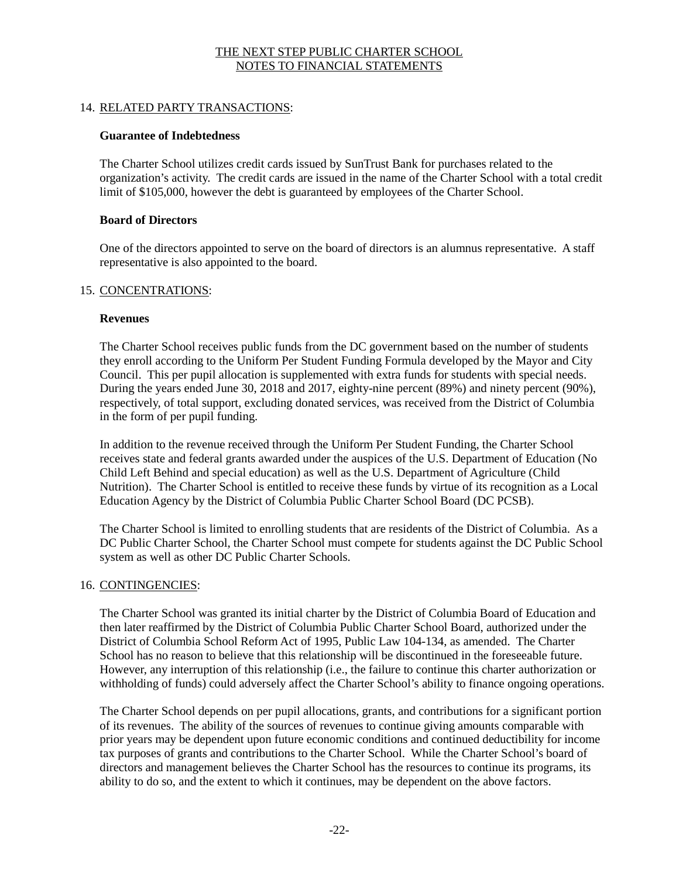## 14. RELATED PARTY TRANSACTIONS:

## **Guarantee of Indebtedness**

The Charter School utilizes credit cards issued by SunTrust Bank for purchases related to the organization's activity. The credit cards are issued in the name of the Charter School with a total credit limit of \$105,000, however the debt is guaranteed by employees of the Charter School.

## **Board of Directors**

One of the directors appointed to serve on the board of directors is an alumnus representative. A staff representative is also appointed to the board.

## 15. CONCENTRATIONS:

## **Revenues**

The Charter School receives public funds from the DC government based on the number of students they enroll according to the Uniform Per Student Funding Formula developed by the Mayor and City Council. This per pupil allocation is supplemented with extra funds for students with special needs. During the years ended June 30, 2018 and 2017, eighty-nine percent (89%) and ninety percent (90%), respectively, of total support, excluding donated services, was received from the District of Columbia in the form of per pupil funding.

In addition to the revenue received through the Uniform Per Student Funding, the Charter School receives state and federal grants awarded under the auspices of the U.S. Department of Education (No Child Left Behind and special education) as well as the U.S. Department of Agriculture (Child Nutrition). The Charter School is entitled to receive these funds by virtue of its recognition as a Local Education Agency by the District of Columbia Public Charter School Board (DC PCSB).

The Charter School is limited to enrolling students that are residents of the District of Columbia. As a DC Public Charter School, the Charter School must compete for students against the DC Public School system as well as other DC Public Charter Schools.

## 16. CONTINGENCIES:

The Charter School was granted its initial charter by the District of Columbia Board of Education and then later reaffirmed by the District of Columbia Public Charter School Board, authorized under the District of Columbia School Reform Act of 1995, Public Law 104-134, as amended. The Charter School has no reason to believe that this relationship will be discontinued in the foreseeable future. However, any interruption of this relationship (i.e., the failure to continue this charter authorization or withholding of funds) could adversely affect the Charter School's ability to finance ongoing operations.

The Charter School depends on per pupil allocations, grants, and contributions for a significant portion of its revenues. The ability of the sources of revenues to continue giving amounts comparable with prior years may be dependent upon future economic conditions and continued deductibility for income tax purposes of grants and contributions to the Charter School. While the Charter School's board of directors and management believes the Charter School has the resources to continue its programs, its ability to do so, and the extent to which it continues, may be dependent on the above factors.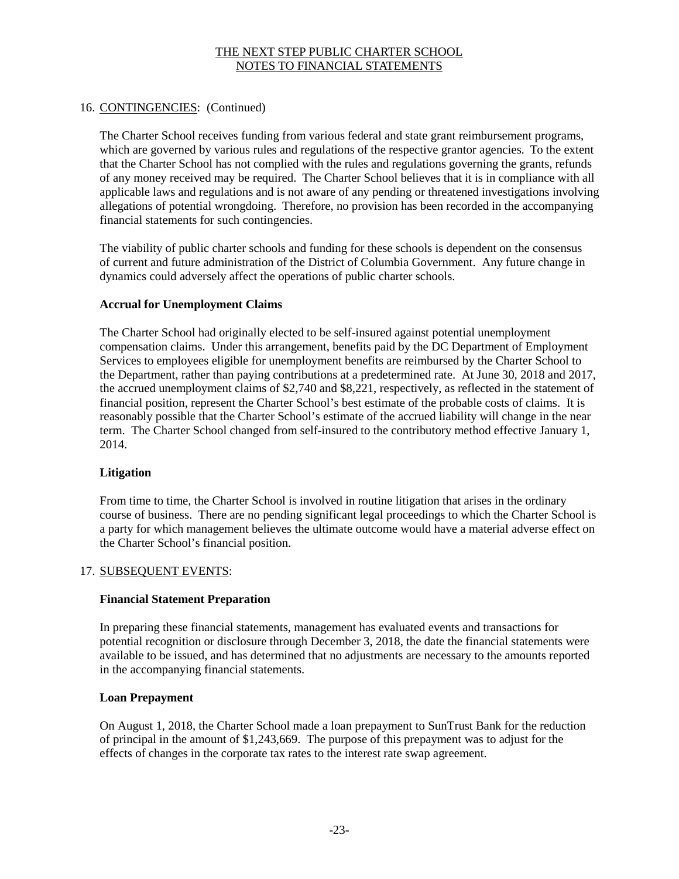## 16. CONTINGENCIES: (Continued)

The Charter School receives funding from various federal and state grant reimbursement programs, which are governed by various rules and regulations of the respective grantor agencies. To the extent that the Charter School has not complied with the rules and regulations governing the grants, refunds of any money received may be required. The Charter School believes that it is in compliance with all applicable laws and regulations and is not aware of any pending or threatened investigations involving allegations of potential wrongdoing. Therefore, no provision has been recorded in the accompanying financial statements for such contingencies.

The viability of public charter schools and funding for these schools is dependent on the consensus of current and future administration of the District of Columbia Government. Any future change in dynamics could adversely affect the operations of public charter schools.

## **Accrual for Unemployment Claims**

The Charter School had originally elected to be self-insured against potential unemployment compensation claims. Under this arrangement, benefits paid by the DC Department of Employment Services to employees eligible for unemployment benefits are reimbursed by the Charter School to the Department, rather than paying contributions at a predetermined rate. At June 30, 2018 and 2017, the accrued unemployment claims of \$2,740 and \$8,221, respectively, as reflected in the statement of financial position, represent the Charter School's best estimate of the probable costs of claims. It is reasonably possible that the Charter School's estimate of the accrued liability will change in the near term. The Charter School changed from self-insured to the contributory method effective January 1, 2014.

## **Litigation**

From time to time, the Charter School is involved in routine litigation that arises in the ordinary course of business. There are no pending significant legal proceedings to which the Charter School is a party for which management believes the ultimate outcome would have a material adverse effect on the Charter School's financial position.

## 17. SUBSEQUENT EVENTS:

## **Financial Statement Preparation**

In preparing these financial statements, management has evaluated events and transactions for potential recognition or disclosure through December 3, 2018, the date the financial statements were available to be issued, and has determined that no adjustments are necessary to the amounts reported in the accompanying financial statements.

## **Loan Prepayment**

On August 1, 2018, the Charter School made a loan prepayment to SunTrust Bank for the reduction of principal in the amount of \$1,243,669. The purpose of this prepayment was to adjust for the effects of changes in the corporate tax rates to the interest rate swap agreement.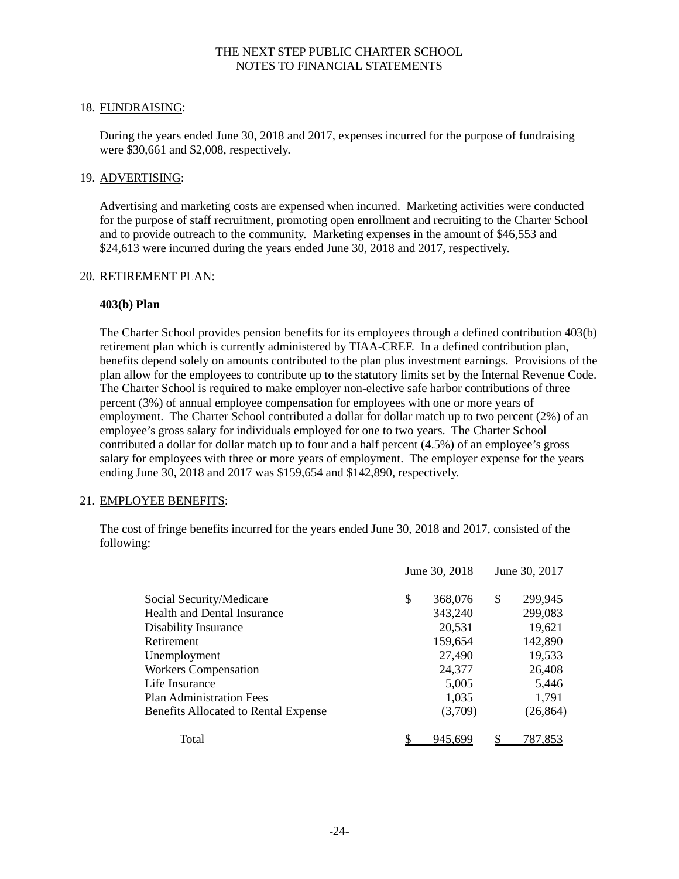## 18. FUNDRAISING:

During the years ended June 30, 2018 and 2017, expenses incurred for the purpose of fundraising were \$30,661 and \$2,008, respectively.

#### 19. ADVERTISING:

Advertising and marketing costs are expensed when incurred. Marketing activities were conducted for the purpose of staff recruitment, promoting open enrollment and recruiting to the Charter School and to provide outreach to the community. Marketing expenses in the amount of \$46,553 and \$24,613 were incurred during the years ended June 30, 2018 and 2017, respectively.

#### 20. RETIREMENT PLAN:

## **403(b) Plan**

The Charter School provides pension benefits for its employees through a defined contribution 403(b) retirement plan which is currently administered by TIAA-CREF. In a defined contribution plan, benefits depend solely on amounts contributed to the plan plus investment earnings. Provisions of the plan allow for the employees to contribute up to the statutory limits set by the Internal Revenue Code. The Charter School is required to make employer non-elective safe harbor contributions of three percent (3%) of annual employee compensation for employees with one or more years of employment. The Charter School contributed a dollar for dollar match up to two percent (2%) of an employee's gross salary for individuals employed for one to two years. The Charter School contributed a dollar for dollar match up to four and a half percent (4.5%) of an employee's gross salary for employees with three or more years of employment. The employer expense for the years ending June 30, 2018 and 2017 was \$159,654 and \$142,890, respectively.

## 21. EMPLOYEE BENEFITS:

The cost of fringe benefits incurred for the years ended June 30, 2018 and 2017, consisted of the following:

|                                             | June 30, 2018 | June 30, 2017 |
|---------------------------------------------|---------------|---------------|
| Social Security/Medicare                    | \$<br>368,076 | \$<br>299,945 |
| <b>Health and Dental Insurance</b>          | 343,240       | 299,083       |
| Disability Insurance                        | 20,531        | 19,621        |
| Retirement                                  | 159,654       | 142,890       |
| Unemployment                                | 27,490        | 19,533        |
| <b>Workers Compensation</b>                 | 24,377        | 26,408        |
| Life Insurance                              | 5,005         | 5,446         |
| <b>Plan Administration Fees</b>             | 1,035         | 1,791         |
| <b>Benefits Allocated to Rental Expense</b> | (3,709)       | (26, 864)     |
| Total                                       | 945.69        | 787.853       |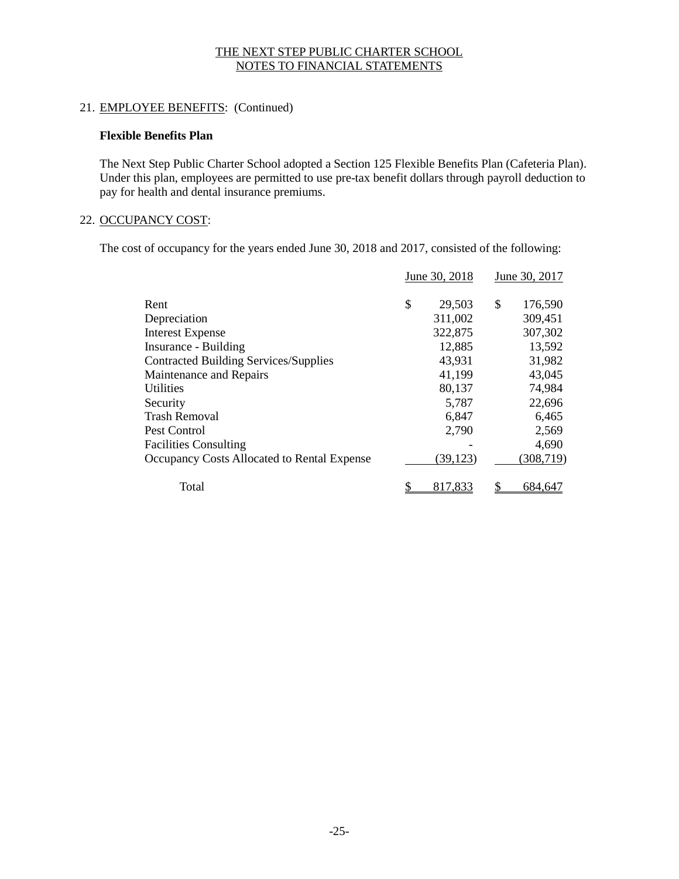## 21. EMPLOYEE BENEFITS: (Continued)

## **Flexible Benefits Plan**

The Next Step Public Charter School adopted a Section 125 Flexible Benefits Plan (Cafeteria Plan). Under this plan, employees are permitted to use pre-tax benefit dollars through payroll deduction to pay for health and dental insurance premiums.

## 22. OCCUPANCY COST:

The cost of occupancy for the years ended June 30, 2018 and 2017, consisted of the following:

|                                              | June 30, 2018 | June 30, 2017 |
|----------------------------------------------|---------------|---------------|
| Rent                                         | \$<br>29,503  | \$<br>176,590 |
| Depreciation                                 | 311,002       | 309,451       |
| <b>Interest Expense</b>                      | 322,875       | 307,302       |
| Insurance - Building                         | 12,885        | 13,592        |
| <b>Contracted Building Services/Supplies</b> | 43,931        | 31,982        |
| Maintenance and Repairs                      | 41,199        | 43,045        |
| Utilities                                    | 80,137        | 74,984        |
| Security                                     | 5,787         | 22,696        |
| <b>Trash Removal</b>                         | 6,847         | 6,465         |
| Pest Control                                 | 2,790         | 2,569         |
| <b>Facilities Consulting</b>                 |               | 4,690         |
| Occupancy Costs Allocated to Rental Expense  | (39,123)      | (308, 719)    |
| Total                                        | \$<br>817,833 | \$<br>684,647 |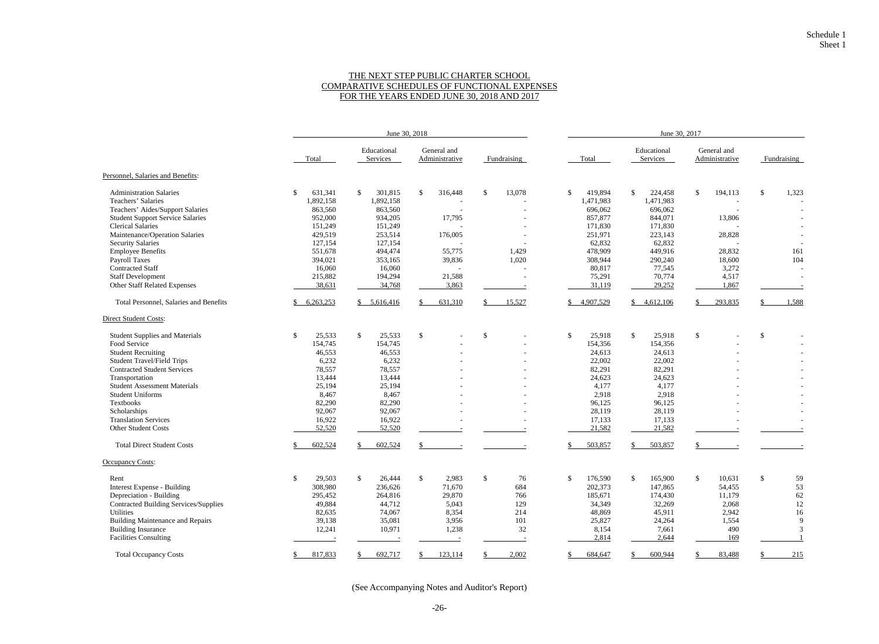# THE NEXT STEP PUBLIC CHARTER SCHOOL COMPARATIVE SCHEDULES OF FUNCTIONAL EXPENSES FOR THE YEARS ENDED JUNE 30, 2018 AND 2017

|                                              |                         | June 30, 2018           |                               |                      |                          | June 30, 2017           |                               |                       |  |  |  |  |
|----------------------------------------------|-------------------------|-------------------------|-------------------------------|----------------------|--------------------------|-------------------------|-------------------------------|-----------------------|--|--|--|--|
|                                              | Total                   | Educational<br>Services | General and<br>Administrative | Fundraising          | Total                    | Educational<br>Services | General and<br>Administrative | Fundraising           |  |  |  |  |
| Personnel, Salaries and Benefits:            |                         |                         |                               |                      |                          |                         |                               |                       |  |  |  |  |
| <b>Administration Salaries</b>               | \$<br>631,341           | $\mathbb{S}$<br>301,815 | \$<br>316,448                 | 13,078<br>\$         | $\mathbb{S}$<br>419,894  | \$<br>224,458           | \$<br>194,113                 | $\mathbb{S}$<br>1,323 |  |  |  |  |
| Teachers' Salaries                           | 1,892,158               | 1,892,158               |                               |                      | 1,471,983                | 1,471,983               |                               |                       |  |  |  |  |
| Teachers' Aides/Support Salaries             | 863,560                 | 863,560                 |                               |                      | 696,062                  | 696,062                 |                               |                       |  |  |  |  |
| <b>Student Support Service Salaries</b>      | 952,000                 | 934,205                 | 17,795                        |                      | 857,877                  | 844,071                 | 13,806                        |                       |  |  |  |  |
| <b>Clerical Salaries</b>                     | 151,249                 | 151,249                 |                               |                      | 171,830                  | 171,830                 |                               |                       |  |  |  |  |
| Maintenance/Operation Salaries               | 429,519                 | 253,514                 | 176,005                       |                      | 251,971                  | 223,143                 | 28,828                        |                       |  |  |  |  |
| <b>Security Salaries</b>                     | 127,154                 | 127,154                 |                               |                      | 62,832                   | 62,832                  |                               |                       |  |  |  |  |
| <b>Employee Benefits</b>                     | 551,678                 | 494,474                 | 55,775                        | 1,429                | 478,909                  | 449,916                 | 28,832                        | 161                   |  |  |  |  |
| <b>Payroll Taxes</b>                         | 394,021                 | 353,165                 | 39,836                        | 1,020                | 308,944                  | 290,240                 | 18,600                        | 104                   |  |  |  |  |
| <b>Contracted Staff</b>                      | 16,060                  | 16,060                  |                               |                      | 80,817                   | 77,545                  | 3,272                         |                       |  |  |  |  |
| <b>Staff Development</b>                     | 215,882                 | 194,294                 | 21,588                        |                      | 75,291                   | 70,774                  | 4,517                         |                       |  |  |  |  |
| Other Staff Related Expenses                 | 38,631                  | 34,768                  | 3,863                         |                      | 31,119                   | 29,252                  | 1,867                         |                       |  |  |  |  |
| Total Personnel, Salaries and Benefits       | 6,263,253               | \$5,616,416             | 631,310                       | 15,527<br>\$         | 4,907,529<br>\$          | \$4,612,106             | 293,835                       | 1,588                 |  |  |  |  |
| <b>Direct Student Costs:</b>                 |                         |                         |                               |                      |                          |                         |                               |                       |  |  |  |  |
| <b>Student Supplies and Materials</b>        | \$<br>25,533            | $\mathbb{S}$<br>25,533  | $\mathbb{S}$                  | \$<br>$\blacksquare$ | $\mathbb{S}$<br>25,918   | \$<br>25,918            | $\mathbb{S}$                  | \$                    |  |  |  |  |
| Food Service                                 | 154,745                 | 154,745                 |                               |                      | 154,356                  | 154,356                 |                               |                       |  |  |  |  |
| <b>Student Recruiting</b>                    | 46,553                  | 46,553                  |                               |                      | 24,613                   | 24,613                  |                               |                       |  |  |  |  |
| <b>Student Travel/Field Trips</b>            | 6,232                   | 6,232                   |                               |                      | 22,002                   | 22,002                  |                               |                       |  |  |  |  |
| <b>Contracted Student Services</b>           | 78,557                  | 78,557                  |                               |                      | 82,291                   | 82,291                  |                               |                       |  |  |  |  |
| Transportation                               | 13,444                  | 13,444                  |                               |                      | 24,623                   | 24,623                  |                               |                       |  |  |  |  |
| <b>Student Assessment Materials</b>          | 25,194                  | 25,194                  |                               |                      | 4,177                    | 4,177                   |                               |                       |  |  |  |  |
| <b>Student Uniforms</b>                      | 8,467                   | 8,467                   |                               |                      | 2,918                    | 2,918                   |                               |                       |  |  |  |  |
| Textbooks                                    | 82,290                  | 82,290                  |                               |                      | 96,125                   | 96,125                  |                               |                       |  |  |  |  |
| Scholarships                                 | 92,067                  | 92,067                  |                               |                      | 28,119                   | 28,119                  |                               |                       |  |  |  |  |
| <b>Translation Services</b>                  | 16,922                  | 16,922                  |                               |                      | 17,133                   | 17,133                  |                               |                       |  |  |  |  |
| Other Student Costs                          | 52,520                  | 52,520                  |                               |                      | 21,582                   | 21,582                  |                               |                       |  |  |  |  |
| <b>Total Direct Student Costs</b>            | 602,524                 | 602,524                 |                               |                      | 503,857                  | 503,857                 |                               |                       |  |  |  |  |
| Occupancy Costs:                             |                         |                         |                               |                      |                          |                         |                               |                       |  |  |  |  |
| Rent                                         | <sup>\$</sup><br>29,503 | \$<br>26,444            | \$<br>2,983                   | \$<br>76             | <sup>\$</sup><br>176,590 | \$<br>165,900           | 10,631<br>-\$                 | \$<br>59              |  |  |  |  |
| Interest Expense - Building                  | 308,980                 | 236,626                 | 71,670                        | 684                  | 202,373                  | 147,865                 | 54,455                        | 53                    |  |  |  |  |
| Depreciation - Building                      | 295,452                 | 264,816                 | 29,870                        | 766                  | 185,671                  | 174,430                 | 11,179                        | 62                    |  |  |  |  |
| <b>Contracted Building Services/Supplies</b> | 49,884                  | 44,712                  | 5,043                         | 129                  | 34,349                   | 32,269                  | 2,068                         | 12                    |  |  |  |  |
| Utilities                                    | 82,635                  | 74,067                  | 8,354                         | 214                  | 48,869                   | 45,911                  | 2,942                         | 16                    |  |  |  |  |
| <b>Building Maintenance and Repairs</b>      | 39,138                  | 35,081                  | 3,956                         | 101                  | 25,827                   | 24,264                  | 1,554                         | 9                     |  |  |  |  |
| <b>Building Insurance</b>                    | 12,241                  | 10,971                  | 1,238                         | $32\,$               | 8,154                    | 7,661                   | 490                           | 3                     |  |  |  |  |
| <b>Facilities Consulting</b>                 |                         |                         |                               |                      | 2,814                    | 2,644                   | 169                           |                       |  |  |  |  |
| <b>Total Occupancy Costs</b>                 | 817,833                 | 692,717                 | 123,114<br>S.                 | 2,002                | 684,647<br>S.            | 600,944                 | 83,488                        | 215                   |  |  |  |  |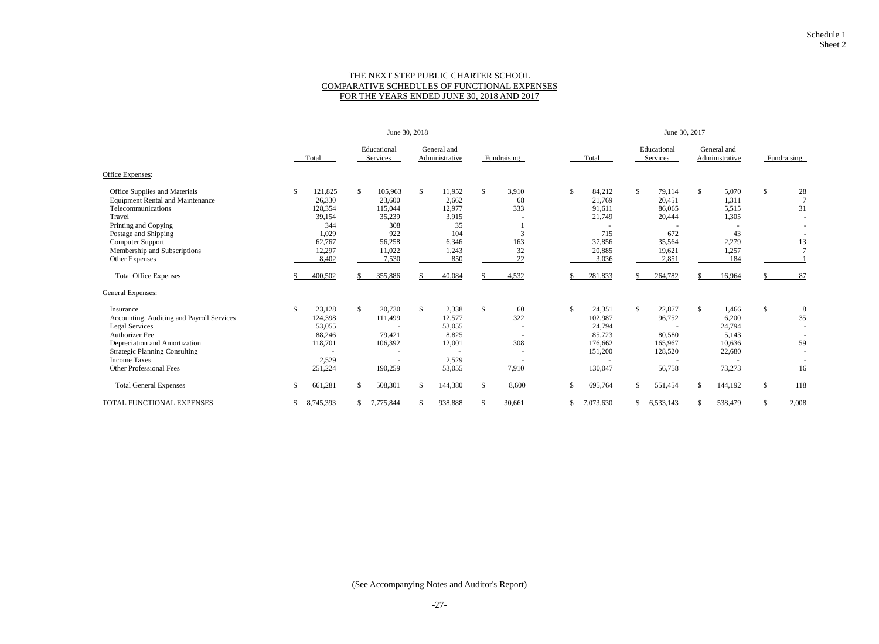# THE NEXT STEP PUBLIC CHARTER SCHOOL COMPARATIVE SCHEDULES OF FUNCTIONAL EXPENSES FOR THE YEARS ENDED JUNE 30, 2018 AND 2017

|                                           |                        | June 30, 2018           |                               |                       |              | June 30, 2017           |                               |                          |  |  |  |  |
|-------------------------------------------|------------------------|-------------------------|-------------------------------|-----------------------|--------------|-------------------------|-------------------------------|--------------------------|--|--|--|--|
|                                           | Total                  | Educational<br>Services | General and<br>Administrative | Fundraising           | Total        | Educational<br>Services | General and<br>Administrative | Fundraising              |  |  |  |  |
| Office Expenses:                          |                        |                         |                               |                       |              |                         |                               |                          |  |  |  |  |
| Office Supplies and Materials             | \$<br>121,825          | $\mathbb{S}$<br>105,963 | \$<br>11,952                  | $\mathbb{S}$<br>3,910 | 84,212<br>\$ | <sup>\$</sup><br>79,114 | $\mathbb{S}$<br>5,070         | \$<br>28                 |  |  |  |  |
| <b>Equipment Rental and Maintenance</b>   | 26,330                 | 23,600                  | 2,662                         | 68                    | 21,769       | 20,451                  | 1,311                         |                          |  |  |  |  |
| Telecommunications                        | 128,354                | 115,044                 | 12,977                        | 333                   | 91,611       | 86,065                  | 5,515                         | 31                       |  |  |  |  |
| Travel                                    | 39,154                 | 35,239                  | 3,915                         |                       | 21,749       | 20,444                  | 1,305                         |                          |  |  |  |  |
| Printing and Copying                      | 344                    | 308                     | 35                            |                       |              |                         |                               |                          |  |  |  |  |
| Postage and Shipping                      | 1,029                  | 922                     | 104                           | 3                     | 715          | 672                     | 43                            |                          |  |  |  |  |
| Computer Support                          | 62,767                 | 56,258                  | 6,346                         | 163                   | 37,856       | 35,564                  | 2,279                         | 13                       |  |  |  |  |
| Membership and Subscriptions              | 12,297                 | 11,022                  | 1,243                         | 32                    | 20,885       | 19,621                  | 1,257                         |                          |  |  |  |  |
| Other Expenses                            | 8,402                  | 7,530                   | 850                           | 22                    | 3,036        | 2,851                   | 184                           |                          |  |  |  |  |
| <b>Total Office Expenses</b>              | 400,502                | 355,886                 | 40,084                        | 4,532                 | 281,833      | 264,782                 | 16,964                        | 87                       |  |  |  |  |
| General Expenses:                         |                        |                         |                               |                       |              |                         |                               |                          |  |  |  |  |
| Insurance                                 | $\mathbb{S}$<br>23,128 | \$<br>20,730            | \$<br>2,338                   | $\mathcal{S}$<br>60   | \$<br>24,351 | 22,877<br>$\mathbb{S}$  | \$<br>1,466                   | \$<br>8                  |  |  |  |  |
| Accounting, Auditing and Payroll Services | 124,398                | 111,499                 | 12,577                        | 322                   | 102,987      | 96,752                  | 6,200                         | 35                       |  |  |  |  |
| <b>Legal Services</b>                     | 53,055                 |                         | 53,055                        |                       | 24,794       |                         | 24,794                        |                          |  |  |  |  |
| <b>Authorizer Fee</b>                     | 88,246                 | 79,421                  | 8,825                         |                       | 85,723       | 80,580                  | 5,143                         |                          |  |  |  |  |
| Depreciation and Amortization             | 118,701                | 106,392                 | 12,001                        | 308                   | 176,662      | 165,967                 | 10,636                        | 59                       |  |  |  |  |
| <b>Strategic Planning Consulting</b>      |                        |                         |                               |                       | 151,200      | 128,520                 | 22,680                        | $\overline{\phantom{a}}$ |  |  |  |  |
| <b>Income Taxes</b>                       | 2,529                  |                         | 2,529                         |                       |              |                         |                               | $\overline{\phantom{a}}$ |  |  |  |  |
| <b>Other Professional Fees</b>            | 251,224                | 190,259                 | 53,055                        | 7,910                 | 130,047      | 56,758                  | 73,273                        | 16                       |  |  |  |  |
| <b>Total General Expenses</b>             | 661,281                | 508,301                 | 144,380                       | 8,600                 | 695,764      | 551,454<br>S.           | 144,192                       | 118                      |  |  |  |  |
| TOTAL FUNCTIONAL EXPENSES                 | 8,745,393              | 7,775,844               | 938,888                       | 30,661                | 7,073,630    | 6,533,143               | 538,479                       | 2,008                    |  |  |  |  |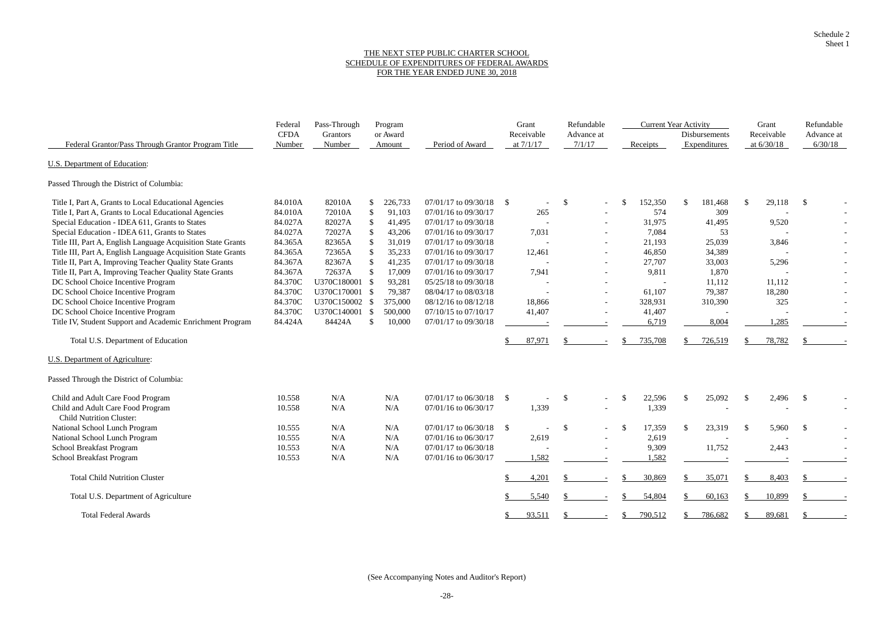#### THE NEXT STEP PUBLIC CHARTER SCHOOL SCHEDULE OF EXPENDITURES OF FEDERAL AWARDS FOR THE YEAR ENDED JUNE 30, 2018

| Federal Grantor/Pass Through Grantor Program Title           | Federal<br><b>CFDA</b><br>Number | Pass-Through<br>Grantors<br>Number | Program<br>or Award<br>Amount | Period of Award         |               | Grant<br>Receivable<br>at $7/1/17$ | Refundable<br>Advance at<br>7/1/17 |               | <b>Current Year Activity</b><br>Receipts |              | Disbursements<br>Expenditures |               | Grant<br>Receivable<br>at $6/30/18$ | Refundable<br>Advance at<br>6/30/18 |
|--------------------------------------------------------------|----------------------------------|------------------------------------|-------------------------------|-------------------------|---------------|------------------------------------|------------------------------------|---------------|------------------------------------------|--------------|-------------------------------|---------------|-------------------------------------|-------------------------------------|
| U.S. Department of Education:                                |                                  |                                    |                               |                         |               |                                    |                                    |               |                                          |              |                               |               |                                     |                                     |
| Passed Through the District of Columbia:                     |                                  |                                    |                               |                         |               |                                    |                                    |               |                                          |              |                               |               |                                     |                                     |
| Title I, Part A, Grants to Local Educational Agencies        | 84.010A                          | 82010A                             | 226,733                       | 07/01/17 to 09/30/18 \$ |               |                                    | -\$                                | -\$           | 152,350                                  | \$           | 181,468                       | <sup>\$</sup> | 29,118                              | \$                                  |
| Title I, Part A, Grants to Local Educational Agencies        | 84.010A                          | 72010A                             | $\mathcal{S}$<br>91,103       | 07/01/16 to 09/30/17    |               | 265                                |                                    |               | 574                                      |              | 309                           |               |                                     |                                     |
| Special Education - IDEA 611, Grants to States               | 84.027A                          | 82027A                             | 41,495<br>-\$                 | 07/01/17 to 09/30/18    |               |                                    |                                    |               | 31,975                                   |              | 41,495                        |               | 9,520                               |                                     |
| Special Education - IDEA 611, Grants to States               | 84.027A                          | 72027A                             | $\mathcal{S}$<br>43,206       | 07/01/16 to 09/30/17    |               | 7,031                              |                                    |               | 7,084                                    |              | 53                            |               |                                     |                                     |
| Title III, Part A, English Language Acquisition State Grants | 84.365A                          | 82365A                             | 31,019                        | 07/01/17 to 09/30/18    |               | $\sim$                             |                                    |               | 21,193                                   |              | 25,039                        |               | 3,846                               |                                     |
| Title III, Part A, English Language Acquisition State Grants | 84.365A                          | 72365A                             | 35,233                        | 07/01/16 to 09/30/17    |               | 12,461                             |                                    |               | 46,850                                   |              | 34,389                        |               |                                     |                                     |
| Title II, Part A, Improving Teacher Quality State Grants     | 84.367A                          | 82367A                             | 41,235                        | 07/01/17 to 09/30/18    |               |                                    |                                    |               | 27,707                                   |              | 33,003                        |               | 5,296                               |                                     |
| Title II, Part A, Improving Teacher Quality State Grants     | 84.367A                          | 72637A                             | 17,009                        | 07/01/16 to 09/30/17    |               | 7,941                              |                                    |               | 9,811                                    |              | 1,870                         |               |                                     |                                     |
| DC School Choice Incentive Program                           | 84.370C                          | U370C180001 \$                     | 93,281                        | 05/25/18 to 09/30/18    |               |                                    |                                    |               | $\sim$                                   |              | 11,112                        |               | 11,112                              |                                     |
| DC School Choice Incentive Program                           | 84.370C                          | U370C170001 \$                     | 79,387                        | 08/04/17 to 08/03/18    |               |                                    |                                    |               | 61,107                                   |              | 79,387                        |               | 18,280                              |                                     |
| DC School Choice Incentive Program                           | 84.370C                          | U370C150002 \$                     | 375,000                       | 08/12/16 to 08/12/18    |               | 18,866                             |                                    |               | 328,931                                  |              | 310,390                       |               | 325                                 |                                     |
| DC School Choice Incentive Program                           | 84.370C                          | U370C140001 \$                     | 500,000                       | 07/10/15 to 07/10/17    |               | 41,407                             |                                    |               | 41,407                                   |              | $\overline{\phantom{a}}$      |               |                                     |                                     |
| Title IV, Student Support and Academic Enrichment Program    | 84.424A                          | 84424A                             | 10,000<br>$\mathcal{L}$       | 07/01/17 to 09/30/18    |               |                                    |                                    |               | 6,719                                    |              | 8,004                         |               | 1,285                               |                                     |
| Total U.S. Department of Education                           |                                  |                                    |                               |                         |               | 87,971                             |                                    |               | 735,708                                  | S.           | 726,519                       |               | 78,782                              |                                     |
| <b>U.S. Department of Agriculture:</b>                       |                                  |                                    |                               |                         |               |                                    |                                    |               |                                          |              |                               |               |                                     |                                     |
| Passed Through the District of Columbia:                     |                                  |                                    |                               |                         |               |                                    |                                    |               |                                          |              |                               |               |                                     |                                     |
| Child and Adult Care Food Program                            | 10.558                           | N/A                                | N/A                           | 07/01/17 to 06/30/18 \$ |               |                                    | $\mathcal{S}$                      | $\mathcal{S}$ | 22,596                                   | $\mathbb{S}$ | 25,092                        | $\mathbb{S}$  | 2,496                               | $\mathcal{S}$                       |
| Child and Adult Care Food Program                            | 10.558                           | N/A                                | N/A                           | 07/01/16 to 06/30/17    |               | 1,339                              |                                    |               | 1,339                                    |              |                               |               |                                     |                                     |
| <b>Child Nutrition Cluster:</b>                              |                                  |                                    |                               |                         |               |                                    |                                    |               |                                          |              |                               |               |                                     |                                     |
| National School Lunch Program                                | 10.555                           | N/A                                | N/A                           | 07/01/17 to 06/30/18    | $\mathcal{S}$ |                                    | $\mathcal{S}$                      | $\mathbb{S}$  | 17,359                                   | $\mathbb{S}$ | 23,319                        | $\mathbb{S}$  | 5,960                               | $\mathcal{S}$                       |
| National School Lunch Program                                | 10.555                           | N/A                                | N/A                           | 07/01/16 to 06/30/17    |               | 2,619                              |                                    |               | 2,619                                    |              |                               |               |                                     |                                     |
| School Breakfast Program                                     | 10.553                           | N/A                                | N/A                           | 07/01/17 to 06/30/18    |               |                                    |                                    |               | 9,309                                    |              | 11,752                        |               | 2,443                               |                                     |
| School Breakfast Program                                     | 10.553                           | N/A                                | N/A                           | 07/01/16 to 06/30/17    |               | 1,582                              |                                    |               | 1,582                                    |              |                               |               |                                     |                                     |
| <b>Total Child Nutrition Cluster</b>                         |                                  |                                    |                               |                         |               | 4,201                              |                                    |               | 30,869                                   | \$           | 35,071                        |               | 8,403                               |                                     |
| Total U.S. Department of Agriculture                         |                                  |                                    |                               |                         |               | 5,540                              |                                    |               | 54,804                                   | \$.          | 60,163                        |               | 10,899                              |                                     |
| <b>Total Federal Awards</b>                                  |                                  |                                    |                               |                         |               | 93,511                             |                                    | S.            | 790,512                                  |              | 786,682                       |               | 89,681                              |                                     |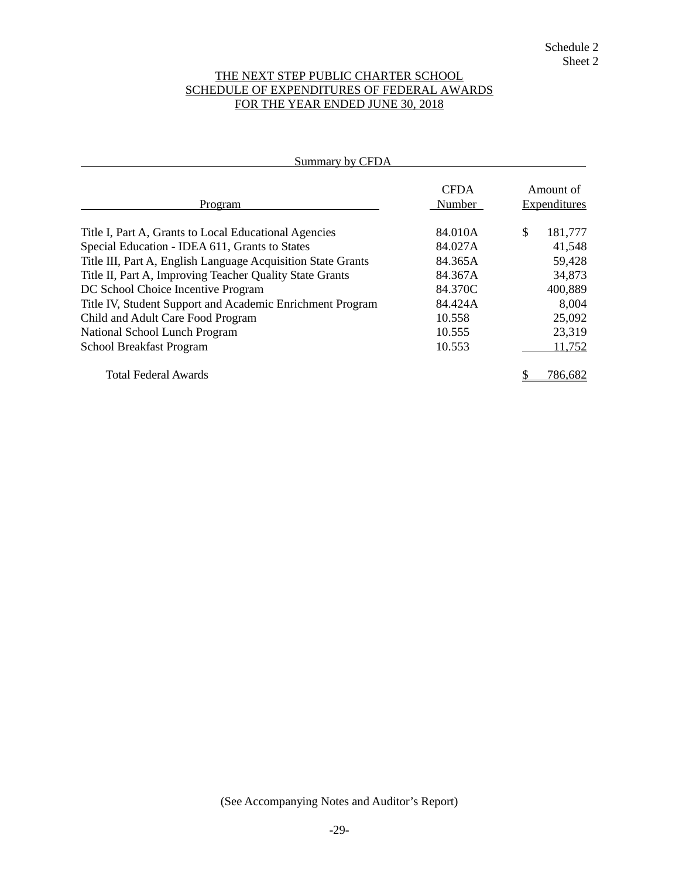# THE NEXT STEP PUBLIC CHARTER SCHOOL SCHEDULE OF EXPENDITURES OF FEDERAL AWARDS FOR THE YEAR ENDED JUNE 30, 2018

| Summary by CFDA                                              |                       |                           |
|--------------------------------------------------------------|-----------------------|---------------------------|
| Program                                                      | <b>CFDA</b><br>Number | Amount of<br>Expenditures |
| Title I, Part A, Grants to Local Educational Agencies        | 84.010A               | \$<br>181,777             |
| Special Education - IDEA 611, Grants to States               | 84.027A               | 41,548                    |
| Title III, Part A, English Language Acquisition State Grants | 84.365A               | 59,428                    |
| Title II, Part A, Improving Teacher Quality State Grants     | 84.367A               | 34,873                    |
| DC School Choice Incentive Program                           | 84.370C               | 400,889                   |
| Title IV, Student Support and Academic Enrichment Program    | 84.424A               | 8,004                     |
| Child and Adult Care Food Program                            | 10.558                | 25,092                    |
| National School Lunch Program                                | 10.555                | 23,319                    |
| School Breakfast Program                                     | 10.553                | 11,752                    |
| <b>Total Federal Awards</b>                                  |                       | 786,682                   |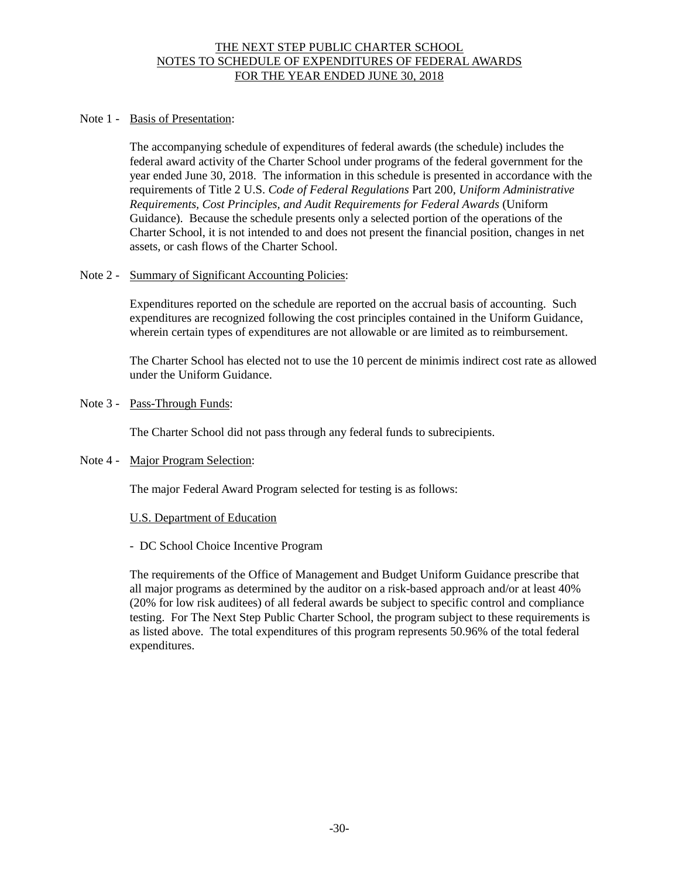## THE NEXT STEP PUBLIC CHARTER SCHOOL NOTES TO SCHEDULE OF EXPENDITURES OF FEDERAL AWARDS FOR THE YEAR ENDED JUNE 30, 2018

## Note 1 - Basis of Presentation:

The accompanying schedule of expenditures of federal awards (the schedule) includes the federal award activity of the Charter School under programs of the federal government for the year ended June 30, 2018. The information in this schedule is presented in accordance with the requirements of Title 2 U.S. *Code of Federal Regulations* Part 200, *Uniform Administrative Requirements, Cost Principles, and Audit Requirements for Federal Awards* (Uniform Guidance). Because the schedule presents only a selected portion of the operations of the Charter School, it is not intended to and does not present the financial position, changes in net assets, or cash flows of the Charter School.

#### Note 2 - Summary of Significant Accounting Policies:

Expenditures reported on the schedule are reported on the accrual basis of accounting. Such expenditures are recognized following the cost principles contained in the Uniform Guidance, wherein certain types of expenditures are not allowable or are limited as to reimbursement.

The Charter School has elected not to use the 10 percent de minimis indirect cost rate as allowed under the Uniform Guidance.

#### Note 3 - Pass-Through Funds:

The Charter School did not pass through any federal funds to subrecipients.

#### Note 4 - Major Program Selection:

The major Federal Award Program selected for testing is as follows:

#### U.S. Department of Education

#### - DC School Choice Incentive Program

The requirements of the Office of Management and Budget Uniform Guidance prescribe that all major programs as determined by the auditor on a risk-based approach and/or at least 40% (20% for low risk auditees) of all federal awards be subject to specific control and compliance testing. For The Next Step Public Charter School, the program subject to these requirements is as listed above. The total expenditures of this program represents 50.96% of the total federal expenditures.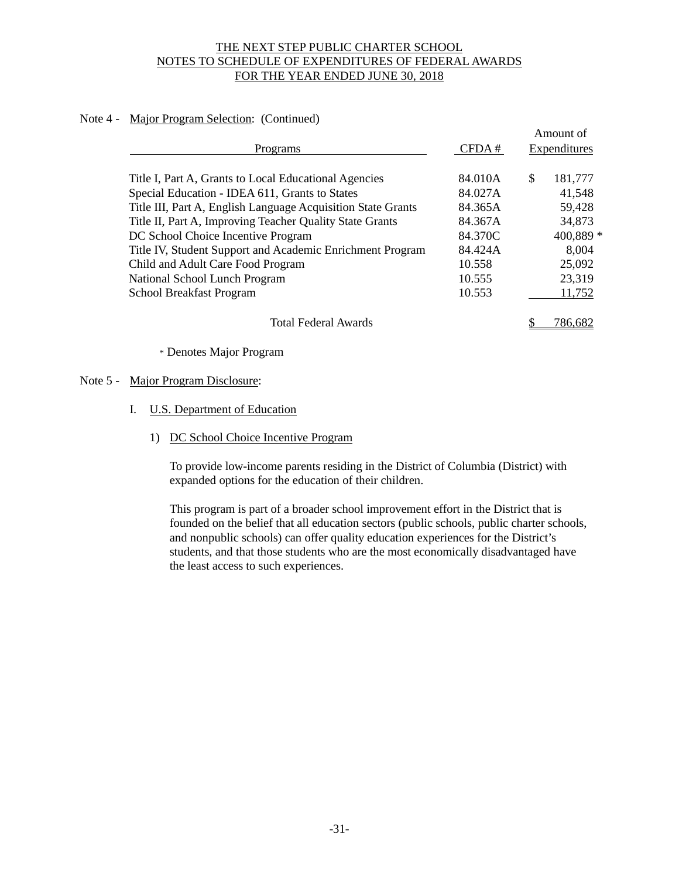## THE NEXT STEP PUBLIC CHARTER SCHOOL NOTES TO SCHEDULE OF EXPENDITURES OF FEDERAL AWARDS FOR THE YEAR ENDED JUNE 30, 2018

## Note 4 - Major Program Selection: (Continued)

|                                                                                                         |                    | Amount of               |
|---------------------------------------------------------------------------------------------------------|--------------------|-------------------------|
| Programs                                                                                                | CFDA#              | Expenditures            |
| Title I, Part A, Grants to Local Educational Agencies<br>Special Education - IDEA 611, Grants to States | 84.010A<br>84.027A | \$<br>181,777<br>41,548 |
| Title III, Part A, English Language Acquisition State Grants                                            | 84.365A            | 59,428                  |
| Title II, Part A, Improving Teacher Quality State Grants<br>DC School Choice Incentive Program          | 84.367A<br>84.370C | 34,873<br>400,889 *     |
| Title IV, Student Support and Academic Enrichment Program                                               | 84.424A            | 8,004                   |
| Child and Adult Care Food Program<br>National School Lunch Program                                      | 10.558<br>10.555   | 25,092<br>23,319        |
| School Breakfast Program                                                                                | 10.553             | 11,752                  |
| Total Federal Awards                                                                                    |                    | 786.682                 |

\* Denotes Major Program

## Note 5 - Major Program Disclosure:

- I. U.S. Department of Education
	- 1) DC School Choice Incentive Program

To provide low-income parents residing in the District of Columbia (District) with expanded options for the education of their children.

This program is part of a broader school improvement effort in the District that is founded on the belief that all education sectors (public schools, public charter schools, and nonpublic schools) can offer quality education experiences for the District's students, and that those students who are the most economically disadvantaged have the least access to such experiences.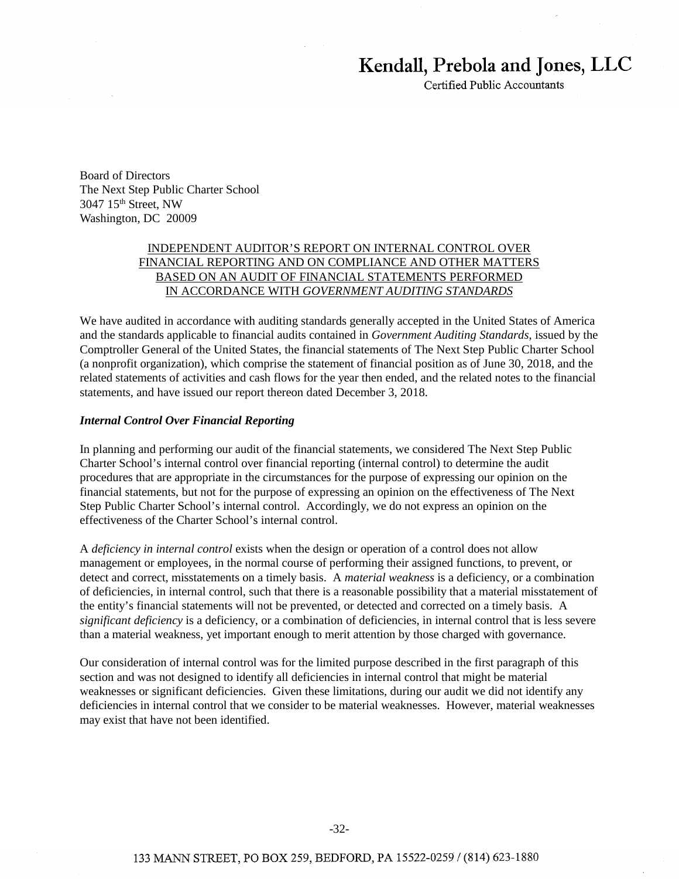# **Kendall, Prebola and Jones, LLC**

Certified Public Accountants

Board of Directors The Next Step Public Charter School 3047 15th Street, NW Washington, DC 20009

## INDEPENDENT AUDITOR'S REPORT ON INTERNAL CONTROL OVER FINANCIAL REPORTING AND ON COMPLIANCE AND OTHER MATTERS BASED ON AN AUDIT OF FINANCIAL STATEMENTS PERFORMED IN ACCORDANCE WITH *GOVERNMENT AUDITING STANDARDS*

We have audited in accordance with auditing standards generally accepted in the United States of America and the standards applicable to financial audits contained in *Government Auditing Standards*, issued by the Comptroller General of the United States, the financial statements of The Next Step Public Charter School (a nonprofit organization), which comprise the statement of financial position as of June 30, 2018, and the related statements of activities and cash flows for the year then ended, and the related notes to the financial statements, and have issued our report thereon dated December 3, 2018.

#### *Internal Control Over Financial Reporting*

In planning and performing our audit of the financial statements, we considered The Next Step Public Charter School's internal control over financial reporting (internal control) to determine the audit procedures that are appropriate in the circumstances for the purpose of expressing our opinion on the financial statements, but not for the purpose of expressing an opinion on the effectiveness of The Next Step Public Charter School's internal control. Accordingly, we do not express an opinion on the effectiveness of the Charter School's internal control.

A *deficiency in internal control* exists when the design or operation of a control does not allow management or employees, in the normal course of performing their assigned functions, to prevent, or detect and correct, misstatements on a timely basis. A *material weakness* is a deficiency, or a combination of deficiencies, in internal control, such that there is a reasonable possibility that a material misstatement of the entity's financial statements will not be prevented, or detected and corrected on a timely basis. A *significant deficiency* is a deficiency, or a combination of deficiencies, in internal control that is less severe than a material weakness, yet important enough to merit attention by those charged with governance.

Our consideration of internal control was for the limited purpose described in the first paragraph of this section and was not designed to identify all deficiencies in internal control that might be material weaknesses or significant deficiencies. Given these limitations, during our audit we did not identify any deficiencies in internal control that we consider to be material weaknesses. However, material weaknesses may exist that have not been identified.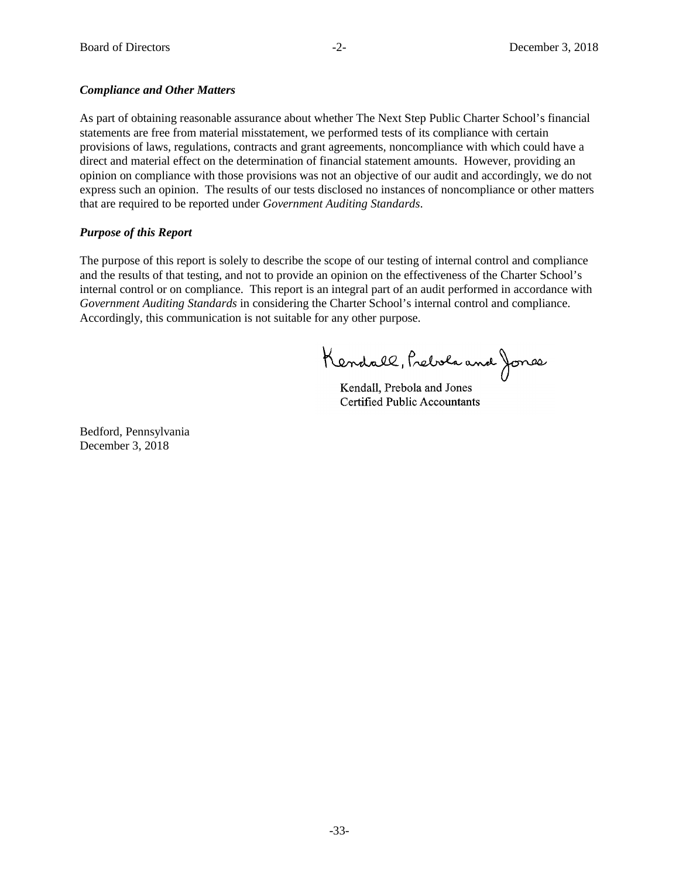## *Compliance and Other Matters*

As part of obtaining reasonable assurance about whether The Next Step Public Charter School's financial statements are free from material misstatement, we performed tests of its compliance with certain provisions of laws, regulations, contracts and grant agreements, noncompliance with which could have a direct and material effect on the determination of financial statement amounts. However, providing an opinion on compliance with those provisions was not an objective of our audit and accordingly, we do not express such an opinion. The results of our tests disclosed no instances of noncompliance or other matters that are required to be reported under *Government Auditing Standards*.

## *Purpose of this Report*

The purpose of this report is solely to describe the scope of our testing of internal control and compliance and the results of that testing, and not to provide an opinion on the effectiveness of the Charter School's internal control or on compliance. This report is an integral part of an audit performed in accordance with *Government Auditing Standards* in considering the Charter School's internal control and compliance. Accordingly, this communication is not suitable for any other purpose.

Kendall, Prebola and Jones

Kendall, Prebola and Jones Kendall, Prebola and Jones Certified Public Accountants Certified Public Accountants

Bedford, Pennsylvania December 3, 2018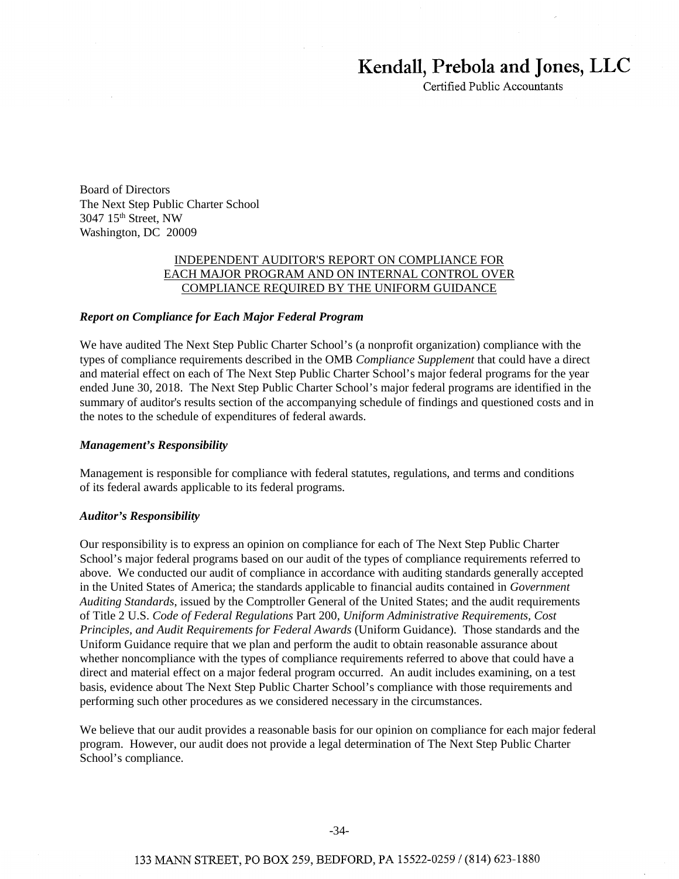# **Kendall, Prebola and Jones, LLC**

Certified Public Accountants

Board of Directors The Next Step Public Charter School 3047 15th Street, NW Washington, DC 20009

## INDEPENDENT AUDITOR'S REPORT ON COMPLIANCE FOR EACH MAJOR PROGRAM AND ON INTERNAL CONTROL OVER COMPLIANCE REQUIRED BY THE UNIFORM GUIDANCE

#### *Report on Compliance for Each Major Federal Program*

We have audited The Next Step Public Charter School's (a nonprofit organization) compliance with the types of compliance requirements described in the OMB *Compliance Supplement* that could have a direct and material effect on each of The Next Step Public Charter School's major federal programs for the year ended June 30, 2018. The Next Step Public Charter School's major federal programs are identified in the summary of auditor's results section of the accompanying schedule of findings and questioned costs and in the notes to the schedule of expenditures of federal awards.

#### *Management's Responsibility*

Management is responsible for compliance with federal statutes, regulations, and terms and conditions of its federal awards applicable to its federal programs.

#### *Auditor's Responsibility*

Our responsibility is to express an opinion on compliance for each of The Next Step Public Charter School's major federal programs based on our audit of the types of compliance requirements referred to above. We conducted our audit of compliance in accordance with auditing standards generally accepted in the United States of America; the standards applicable to financial audits contained in *Government Auditing Standards*, issued by the Comptroller General of the United States; and the audit requirements of Title 2 U.S. *Code of Federal Regulations* Part 200, *Uniform Administrative Requirements, Cost Principles, and Audit Requirements for Federal Awards* (Uniform Guidance). Those standards and the Uniform Guidance require that we plan and perform the audit to obtain reasonable assurance about whether noncompliance with the types of compliance requirements referred to above that could have a direct and material effect on a major federal program occurred. An audit includes examining, on a test basis, evidence about The Next Step Public Charter School's compliance with those requirements and performing such other procedures as we considered necessary in the circumstances.

We believe that our audit provides a reasonable basis for our opinion on compliance for each major federal program. However, our audit does not provide a legal determination of The Next Step Public Charter School's compliance.

#### 133 MANN STREET, PO BOX 259, BEDFORD, PA 15522-0259 / (814) 623-1880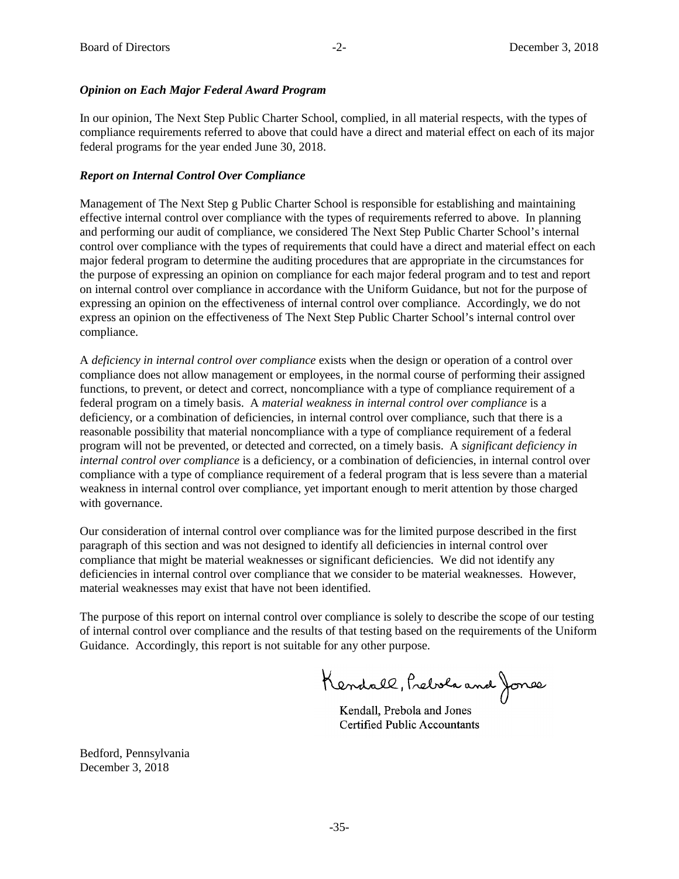#### *Opinion on Each Major Federal Award Program*

In our opinion, The Next Step Public Charter School, complied, in all material respects, with the types of compliance requirements referred to above that could have a direct and material effect on each of its major federal programs for the year ended June 30, 2018.

#### *Report on Internal Control Over Compliance*

Management of The Next Step g Public Charter School is responsible for establishing and maintaining effective internal control over compliance with the types of requirements referred to above. In planning and performing our audit of compliance, we considered The Next Step Public Charter School's internal control over compliance with the types of requirements that could have a direct and material effect on each major federal program to determine the auditing procedures that are appropriate in the circumstances for the purpose of expressing an opinion on compliance for each major federal program and to test and report on internal control over compliance in accordance with the Uniform Guidance, but not for the purpose of expressing an opinion on the effectiveness of internal control over compliance. Accordingly, we do not express an opinion on the effectiveness of The Next Step Public Charter School's internal control over compliance.

A *deficiency in internal control over compliance* exists when the design or operation of a control over compliance does not allow management or employees, in the normal course of performing their assigned functions, to prevent, or detect and correct, noncompliance with a type of compliance requirement of a federal program on a timely basis. A *material weakness in internal control over compliance* is a deficiency, or a combination of deficiencies, in internal control over compliance, such that there is a reasonable possibility that material noncompliance with a type of compliance requirement of a federal program will not be prevented, or detected and corrected, on a timely basis. A *significant deficiency in internal control over compliance* is a deficiency, or a combination of deficiencies, in internal control over compliance with a type of compliance requirement of a federal program that is less severe than a material weakness in internal control over compliance, yet important enough to merit attention by those charged with governance.

Our consideration of internal control over compliance was for the limited purpose described in the first paragraph of this section and was not designed to identify all deficiencies in internal control over compliance that might be material weaknesses or significant deficiencies. We did not identify any deficiencies in internal control over compliance that we consider to be material weaknesses. However, material weaknesses may exist that have not been identified.

The purpose of this report on internal control over compliance is solely to describe the scope of our testing of internal control over compliance and the results of that testing based on the requirements of the Uniform Guidance. Accordingly, this report is not suitable for any other purpose.

Kendall, Prebola and Jones

Kendall, Prebola and Jones Kendall, Prebola and Jones Certified Public Accountants Certified Public Accountants

Bedford, Pennsylvania December 3, 2018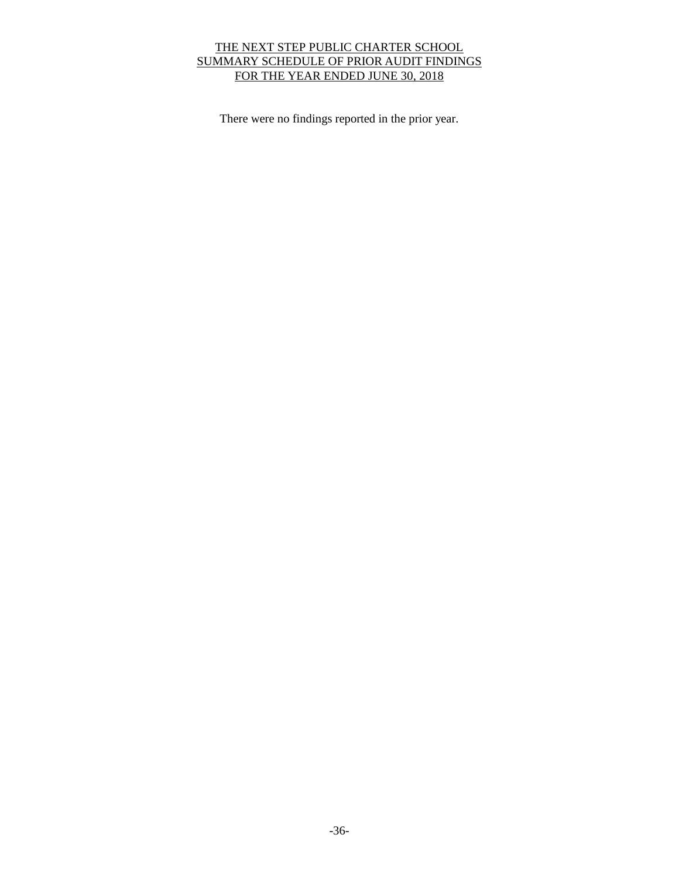# THE NEXT STEP PUBLIC CHARTER SCHOOL SUMMARY SCHEDULE OF PRIOR AUDIT FINDINGS FOR THE YEAR ENDED JUNE 30, 2018

There were no findings reported in the prior year.